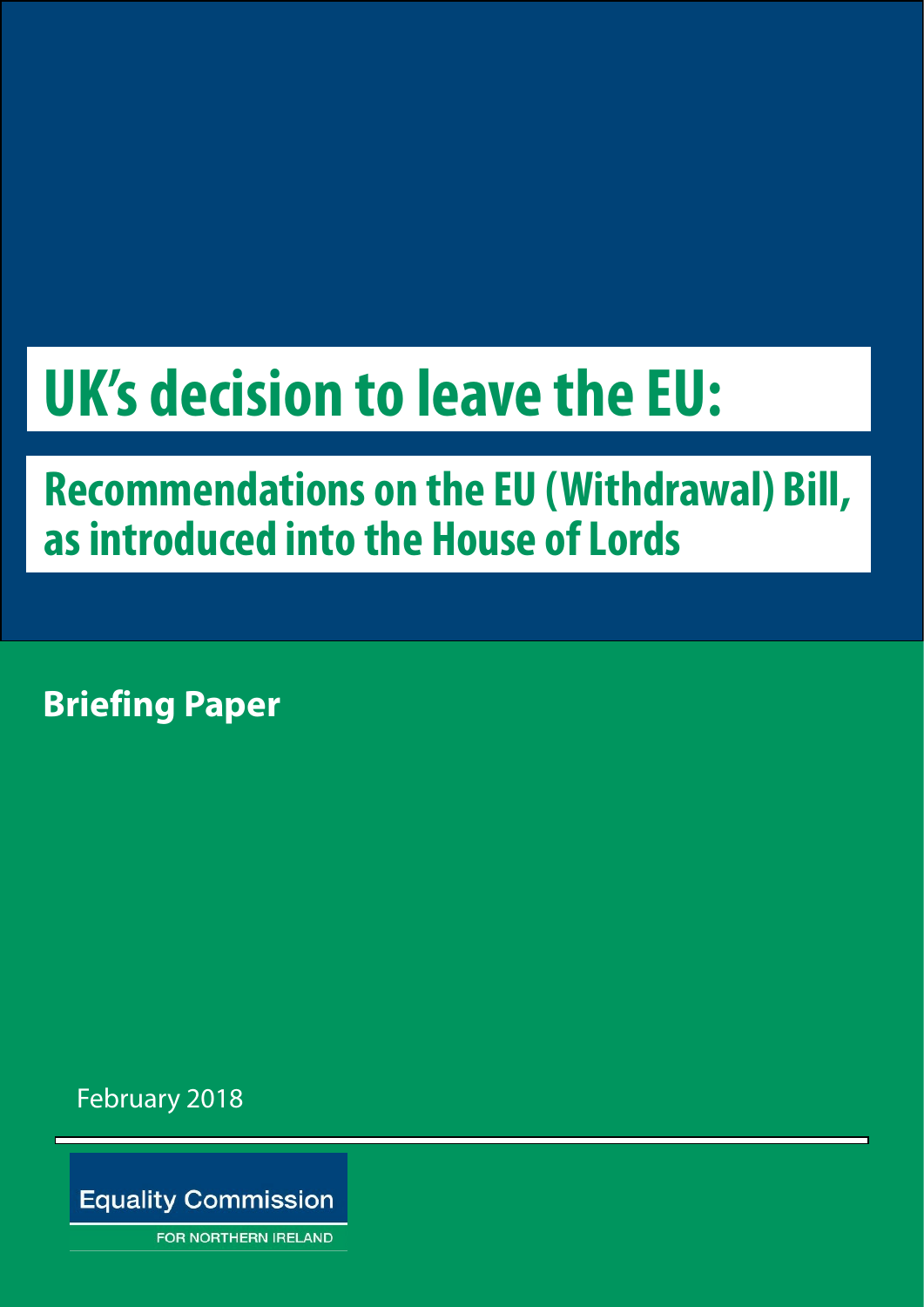# **UK's decision to leave the EU:**

# **Recommendations on the EU (Withdrawal) Bill, as introduced into the House of Lords**

**Briefing Paper**

February 2018

**Equality Commission** 

**FOR NORTHERN IRELAND**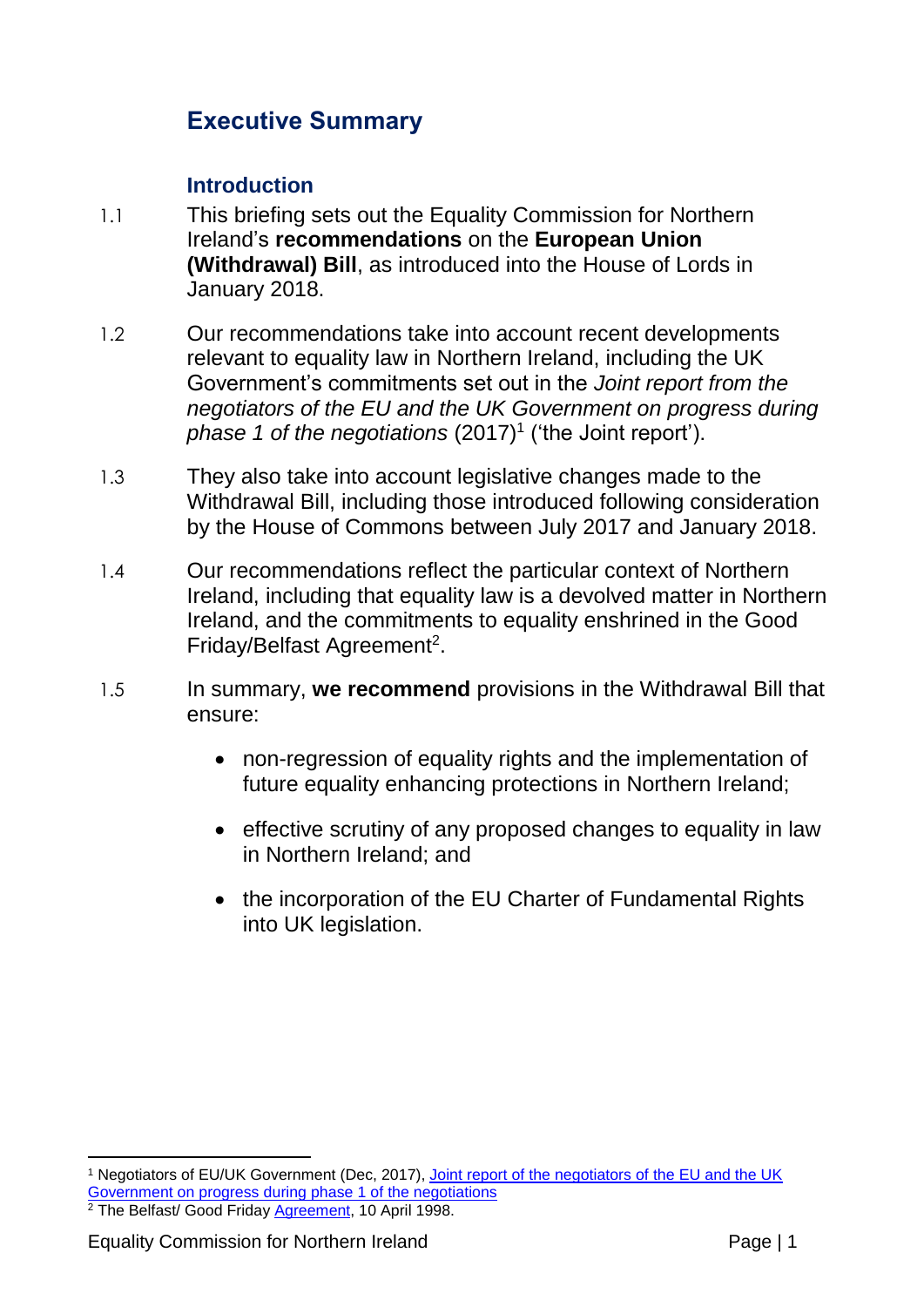#### **Executive Summary**

#### **Introduction**

- 1.1 This briefing sets out the Equality Commission for Northern Ireland's **recommendations** on the **European Union (Withdrawal) Bill**, as introduced into the House of Lords in January 2018.
- 1.2 Our recommendations take into account recent developments relevant to equality law in Northern Ireland, including the UK Government's commitments set out in the *Joint report from the negotiators of the EU and the UK Government on progress during phase 1 of the negotiations* (2017)<sup>1</sup> ('the Joint report').
- 1.3 They also take into account legislative changes made to the Withdrawal Bill, including those introduced following consideration by the House of Commons between July 2017 and January 2018.
- 1.4 Our recommendations reflect the particular context of Northern Ireland, including that equality law is a devolved matter in Northern Ireland, and the commitments to equality enshrined in the Good Friday/Belfast Agreement<sup>2</sup>.
- 1.5 In summary, **we recommend** provisions in the Withdrawal Bill that ensure:
	- non-regression of equality rights and the implementation of future equality enhancing protections in Northern Ireland;
	- effective scrutiny of any proposed changes to equality in law in Northern Ireland; and
	- the incorporation of the EU Charter of Fundamental Rights into UK legislation.

<u>.</u>

<sup>&</sup>lt;sup>1</sup> Negotiators of EU/UK Government (Dec, 2017), Joint report of the negotiators of the EU and the UK [Government on progress during phase 1 of the negotiations](https://www.gov.uk/government/uploads/system/uploads/attachment_data/file/665869/Joint_report_on_progress_during_phase_1_of_negotiations_under_Article_50_TEU_on_the_United_Kingdom_s_orderly_withdrawal_from_the_European_Union.pdf)

<sup>&</sup>lt;sup>2</sup> The Belfast/ Good Friday **Agreement**, 10 April 1998.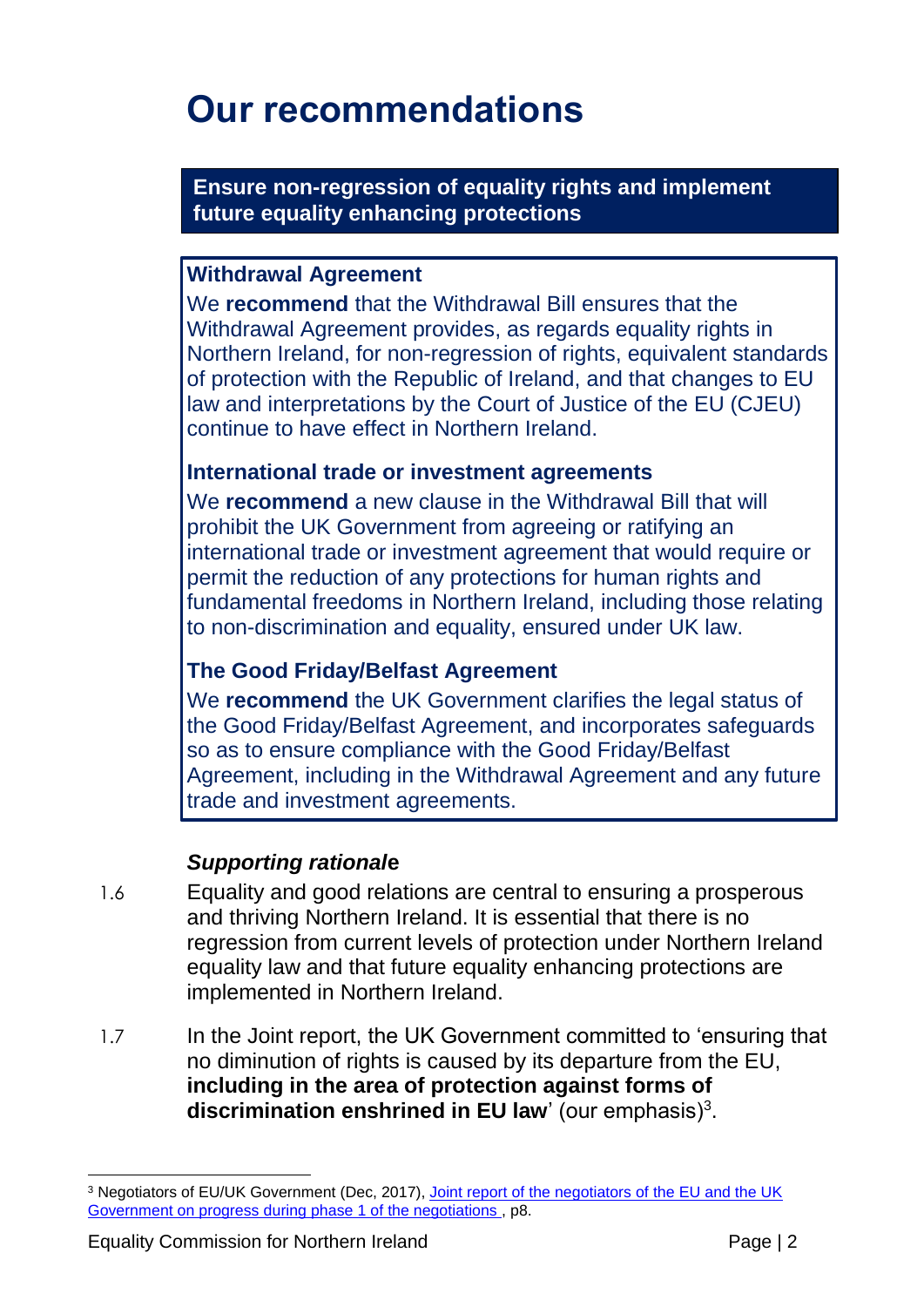### **Our recommendations**

**Ensure non-regression of equality rights and implement future equality enhancing protections**

#### **Withdrawal Agreement**

We **recommend** that the Withdrawal Bill ensures that the Withdrawal Agreement provides, as regards equality rights in Northern Ireland, for non-regression of rights, equivalent standards of protection with the Republic of Ireland, and that changes to EU law and interpretations by the Court of Justice of the EU (CJEU) continue to have effect in Northern Ireland.

#### **International trade or investment agreements**

We **recommend** a new clause in the Withdrawal Bill that will prohibit the UK Government from agreeing or ratifying an international trade or investment agreement that would require or permit the reduction of any protections for human rights and fundamental freedoms in Northern Ireland, including those relating to non-discrimination and equality, ensured under UK law.

#### **The Good Friday/Belfast Agreement**

We **recommend** the UK Government clarifies the legal status of the Good Friday/Belfast Agreement, and incorporates safeguards so as to ensure compliance with the Good Friday/Belfast Agreement, including in the Withdrawal Agreement and any future trade and investment agreements.

#### *Supporting rational***e**

- 1.6 Equality and good relations are central to ensuring a prosperous and thriving Northern Ireland. It is essential that there is no regression from current levels of protection under Northern Ireland equality law and that future equality enhancing protections are implemented in Northern Ireland.
- 1.7 In the Joint report, the UK Government committed to 'ensuring that no diminution of rights is caused by its departure from the EU, **including in the area of protection against forms of discrimination enshrined in EU law**' (our emphasis)<sup>3</sup>.

<sup>1</sup> <sup>3</sup> Negotiators of EU/UK Government (Dec, 2017), Joint report of the negotiators of the EU and the UK [Government on progress during phase 1 of the negotiations](https://www.gov.uk/government/uploads/system/uploads/attachment_data/file/665869/Joint_report_on_progress_during_phase_1_of_negotiations_under_Article_50_TEU_on_the_United_Kingdom_s_orderly_withdrawal_from_the_European_Union.pdf) , p8.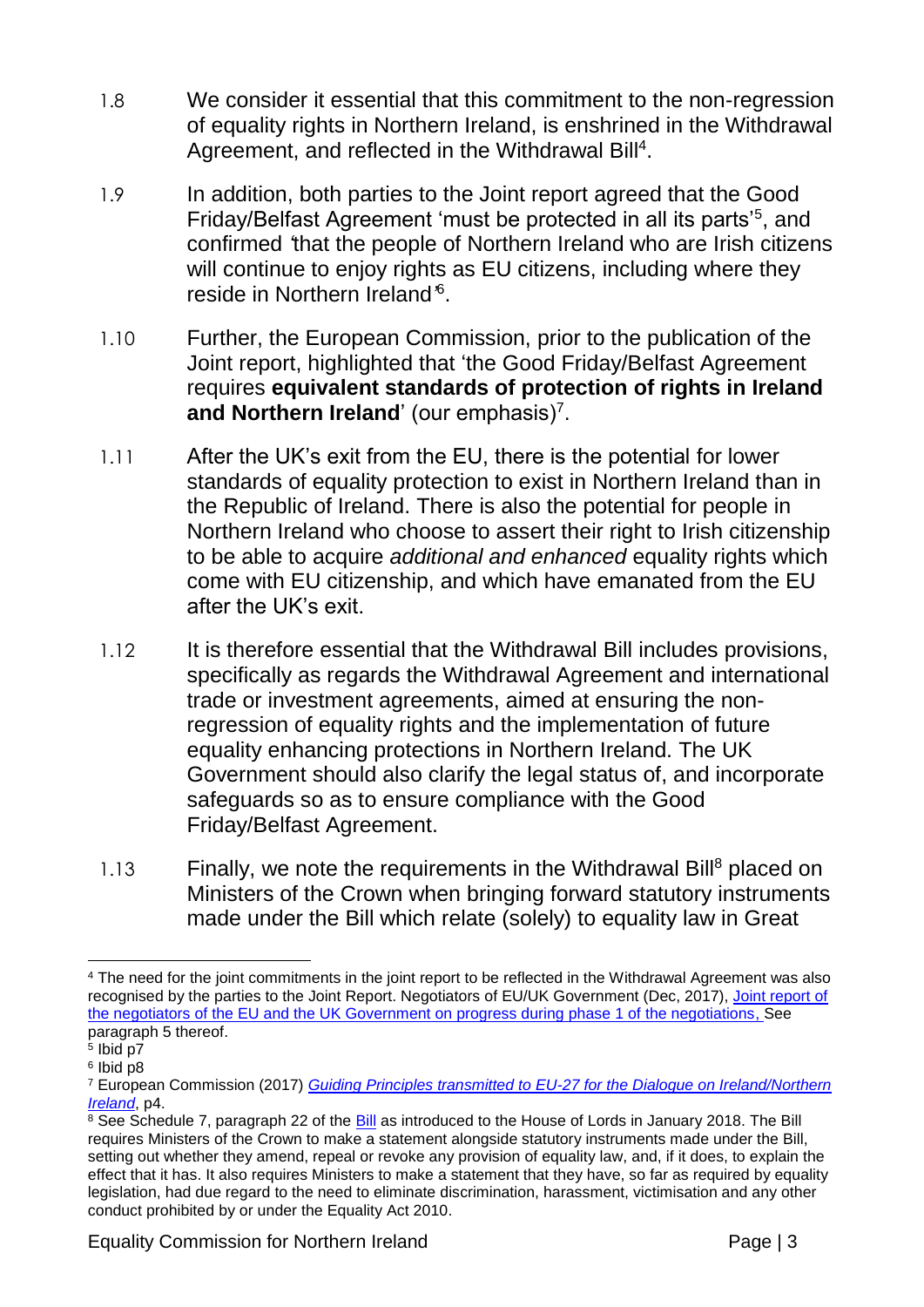- 1.8 We consider it essential that this commitment to the non-regression of equality rights in Northern Ireland, is enshrined in the Withdrawal Agreement, and reflected in the Withdrawal Bill<sup>4</sup>.
- 1.9 In addition, both parties to the Joint report agreed that the Good Friday/Belfast Agreement 'must be protected in all its parts'<sup>5</sup>, and confirmed *'*that the people of Northern Ireland who are Irish citizens will continue to enjoy rights as EU citizens, including where they reside in Northern Ireland*'* 6 .
- 1.10 Further, the European Commission, prior to the publication of the Joint report, highlighted that 'the Good Friday/Belfast Agreement requires **equivalent standards of protection of rights in Ireland and Northern Ireland'** (our emphasis)<sup>7</sup>.
- 1.11 After the UK's exit from the EU, there is the potential for lower standards of equality protection to exist in Northern Ireland than in the Republic of Ireland. There is also the potential for people in Northern Ireland who choose to assert their right to Irish citizenship to be able to acquire *additional and enhanced* equality rights which come with EU citizenship, and which have emanated from the EU after the UK's exit.
- 1.12 It is therefore essential that the Withdrawal Bill includes provisions, specifically as regards the Withdrawal Agreement and international trade or investment agreements, aimed at ensuring the nonregression of equality rights and the implementation of future equality enhancing protections in Northern Ireland. The UK Government should also clarify the legal status of, and incorporate safeguards so as to ensure compliance with the Good Friday/Belfast Agreement.
- 1.13 Finally, we note the requirements in the Withdrawal Bill<sup>8</sup> placed on Ministers of the Crown when bringing forward statutory instruments made under the Bill which relate (solely) to equality law in Great

<sup>&</sup>lt;u>.</u> <sup>4</sup> The need for the joint commitments in the joint report to be reflected in the Withdrawal Agreement was also recognised by the parties to the Joint Report. Negotiators of EU/UK Government (Dec, 2017), [Joint report of](https://www.gov.uk/government/uploads/system/uploads/attachment_data/file/665869/Joint_report_on_progress_during_phase_1_of_negotiations_under_Article_50_TEU_on_the_United_Kingdom_s_orderly_withdrawal_from_the_European_Union.pdf)  [the negotiators of the EU and the UK Government on progress during phase 1 of the negotiations,](https://www.gov.uk/government/uploads/system/uploads/attachment_data/file/665869/Joint_report_on_progress_during_phase_1_of_negotiations_under_Article_50_TEU_on_the_United_Kingdom_s_orderly_withdrawal_from_the_European_Union.pdf) See paragraph 5 thereof.

<sup>5</sup> Ibid p7

<sup>6</sup> Ibid p8

<sup>7</sup> European Commission (2017) *[Guiding Principles transmitted to EU-27 for the Dialogue on Ireland/Northern](https://ec.europa.eu/commission/publications/guiding-principles-transmitted-eu27-dialogue-ireland-northern-ireland_en)  [Ireland](https://ec.europa.eu/commission/publications/guiding-principles-transmitted-eu27-dialogue-ireland-northern-ireland_en)*, p4.

<sup>&</sup>lt;sup>8</sup> See Schedule 7, paragraph 22 of the [Bill](https://publications.parliament.uk/pa/bills/lbill/2017-2019/0079/18079.pd) as introduced to the House of Lords in January 2018. The Bill requires Ministers of the Crown to make a statement alongside statutory instruments made under the Bill, setting out whether they amend, repeal or revoke any provision of equality law, and, if it does, to explain the effect that it has. It also requires Ministers to make a statement that they have, so far as required by equality legislation, had due regard to the need to eliminate discrimination, harassment, victimisation and any other conduct prohibited by or under the Equality Act 2010.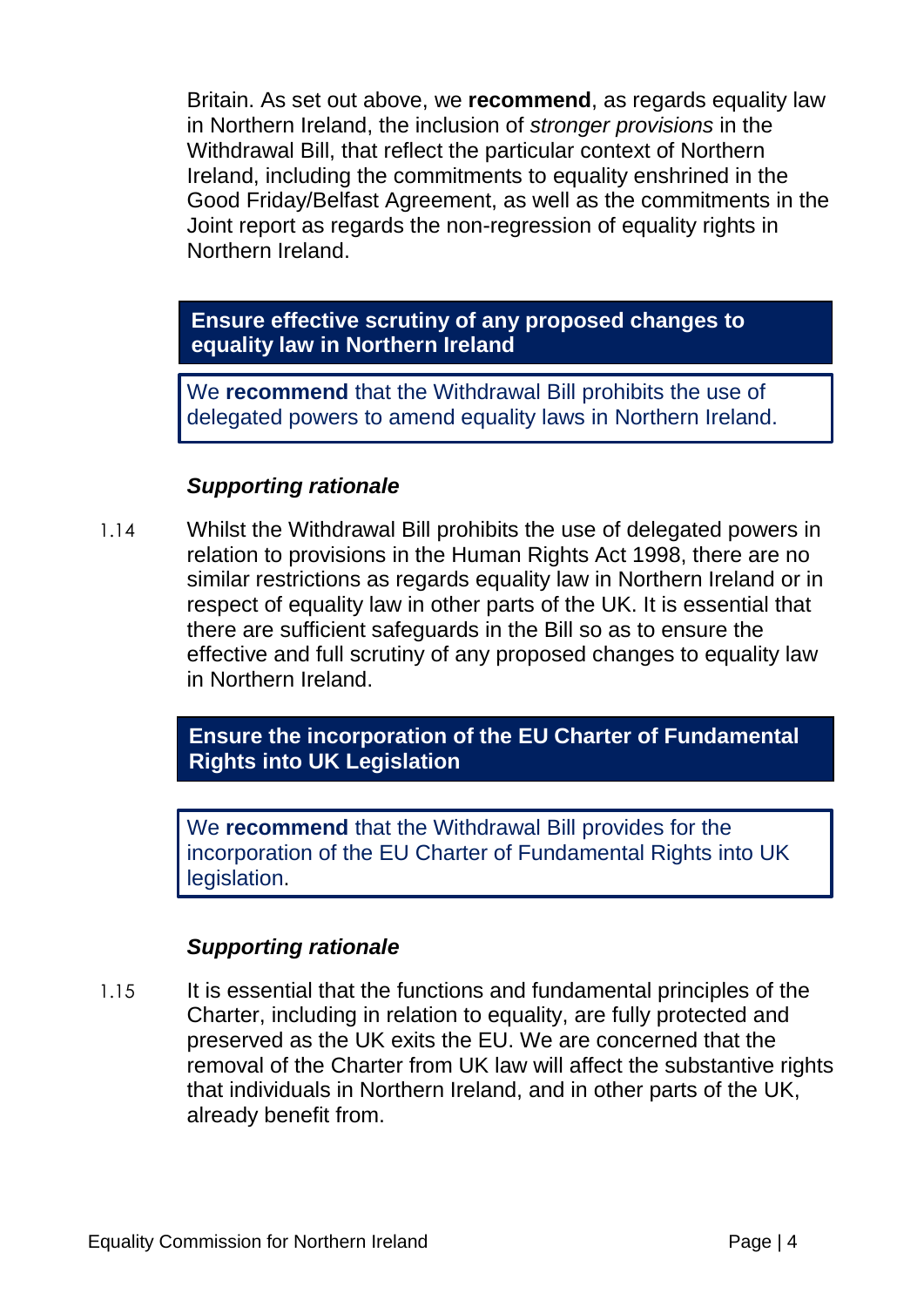Britain. As set out above, we **recommend**, as regards equality law in Northern Ireland, the inclusion of *stronger provisions* in the Withdrawal Bill, that reflect the particular context of Northern Ireland, including the commitments to equality enshrined in the Good Friday/Belfast Agreement, as well as the commitments in the Joint report as regards the non-regression of equality rights in Northern Ireland.

#### **Ensure effective scrutiny of any proposed changes to equality law in Northern Ireland**

We **recommend** that the Withdrawal Bill prohibits the use of delegated powers to amend equality laws in Northern Ireland.

#### *Supporting rationale*

1.14 Whilst the Withdrawal Bill prohibits the use of delegated powers in relation to provisions in the Human Rights Act 1998, there are no similar restrictions as regards equality law in Northern Ireland or in respect of equality law in other parts of the UK. It is essential that there are sufficient safeguards in the Bill so as to ensure the effective and full scrutiny of any proposed changes to equality law in Northern Ireland.

> **Ensure the incorporation of the EU Charter of Fundamental Rights into UK Legislation**

We **recommend** that the Withdrawal Bill provides for the incorporation of the EU Charter of Fundamental Rights into UK legislation.

#### *Supporting rationale*

1.15 It is essential that the functions and fundamental principles of the Charter, including in relation to equality, are fully protected and preserved as the UK exits the EU. We are concerned that the removal of the Charter from UK law will affect the substantive rights that individuals in Northern Ireland, and in other parts of the UK, already benefit from.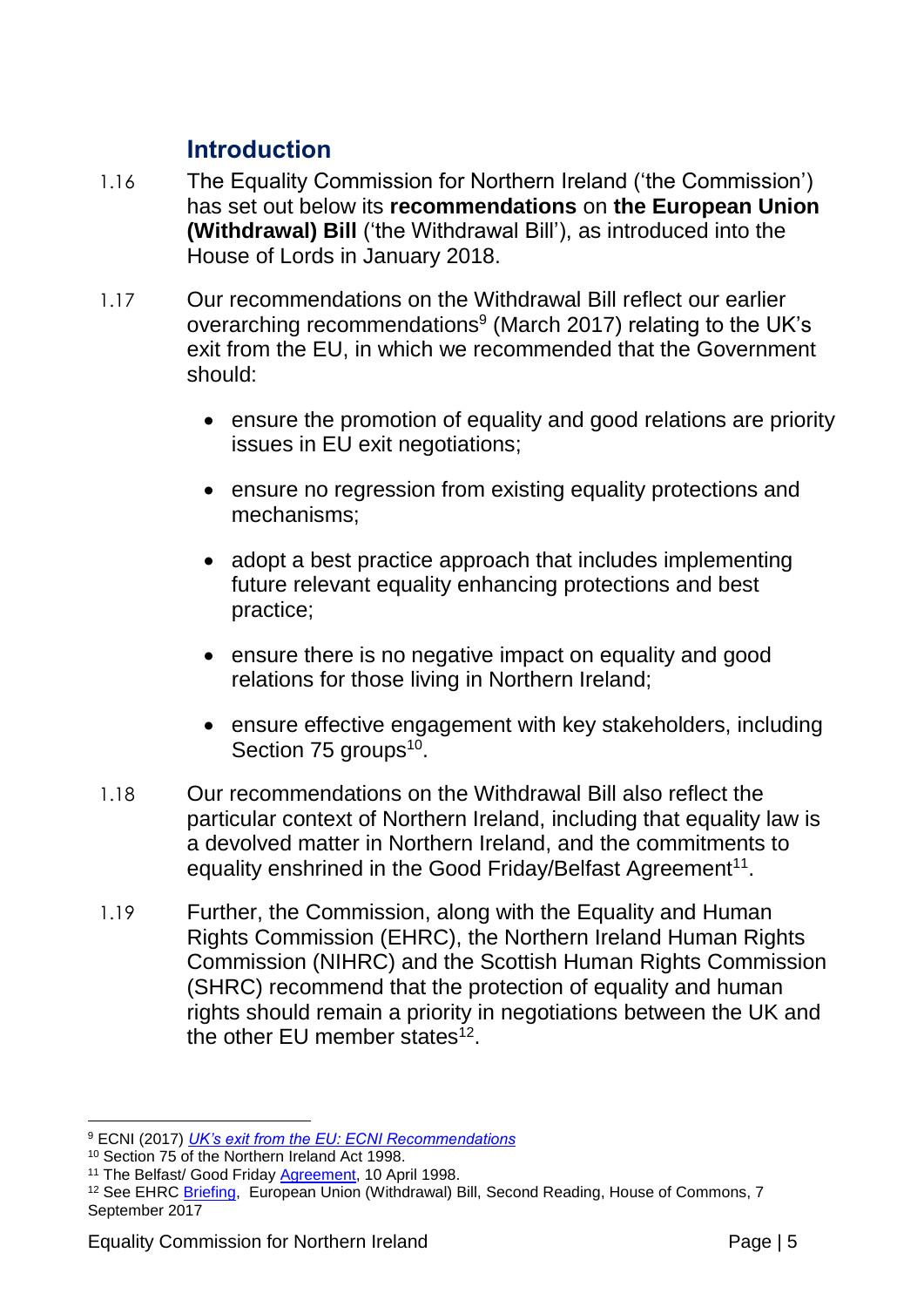#### **Introduction**

- 1.16 The Equality Commission for Northern Ireland ('the Commission') has set out below its **recommendations** on **the European Union (Withdrawal) Bill** ('the Withdrawal Bill'), as introduced into the House of Lords in January 2018.
- 1.17 Our recommendations on the Withdrawal Bill reflect our earlier overarching recommendations $^9$  (March 2017) relating to the UK's exit from the EU, in which we recommended that the Government should:
	- ensure the promotion of equality and good relations are priority issues in EU exit negotiations;
	- ensure no regression from existing equality protections and mechanisms;
	- adopt a best practice approach that includes implementing future relevant equality enhancing protections and best practice;
	- ensure there is no negative impact on equality and good relations for those living in Northern Ireland;
	- ensure effective engagement with key stakeholders, including Section 75 groups<sup>10</sup>.
- 1.18 Our recommendations on the Withdrawal Bill also reflect the particular context of Northern Ireland, including that equality law is a devolved matter in Northern Ireland, and the commitments to equality enshrined in the Good Friday/Belfast Agreement<sup>11</sup>.
- 1.19 Further, the Commission, along with the Equality and Human Rights Commission (EHRC), the Northern Ireland Human Rights Commission (NIHRC) and the Scottish Human Rights Commission (SHRC) recommend that the protection of equality and human rights should remain a priority in negotiations between the UK and the other EU member states $^{12}$ .

<sup>1</sup> <sup>9</sup> ECNI (2017) *[UK's exit from the EU: ECNI Recommendations](http://www.equalityni.org/ECNI/media/ECNI/Publications/Delivering%20Equality/EU-Exit-EqualitySummary.pdf)*

<sup>10</sup> Section 75 of the Northern Ireland Act 1998.

<sup>&</sup>lt;sup>11</sup> The Belfast/ Good Friday [Agreement,](https://www.gov.uk/government/uploads/system/uploads/attachment_data/file/136652/agreement.pdf) 10 April 1998.

<sup>&</sup>lt;sup>12</sup> See EHRC **Briefing, European Union** (Withdrawal) Bill, Second Reading, House of Commons, 7 September 2017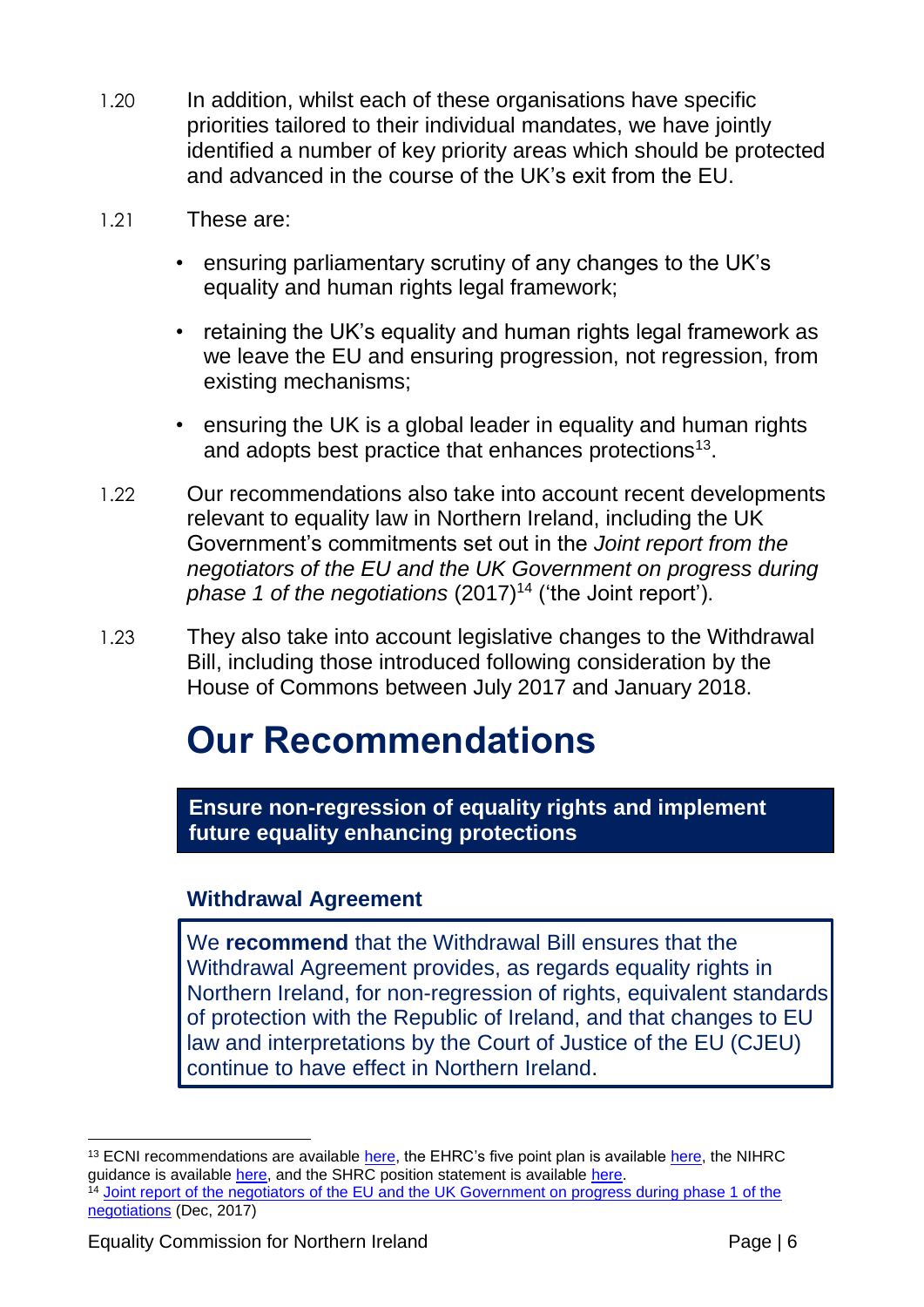- 1.20 In addition, whilst each of these organisations have specific priorities tailored to their individual mandates, we have jointly identified a number of key priority areas which should be protected and advanced in the course of the UK's exit from the EU.
- 1.21 These are:
	- ensuring parliamentary scrutiny of any changes to the UK's equality and human rights legal framework;
	- retaining the UK's equality and human rights legal framework as we leave the EU and ensuring progression, not regression, from existing mechanisms;
	- ensuring the UK is a global leader in equality and human rights and adopts best practice that enhances protections<sup>13</sup>.
- 1.22 Our recommendations also take into account recent developments relevant to equality law in Northern Ireland, including the UK Government's commitments set out in the *Joint report from the negotiators of the EU and the UK Government on progress during phase 1 of the negotiations* (2017)<sup>14</sup> ('the Joint report').
- 1.23 They also take into account legislative changes to the Withdrawal Bill, including those introduced following consideration by the House of Commons between July 2017 and January 2018.

### **Our Recommendations**

**Ensure non-regression of equality rights and implement future equality enhancing protections**

#### **Withdrawal Agreement**

We **recommend** that the Withdrawal Bill ensures that the Withdrawal Agreement provides, as regards equality rights in Northern Ireland, for non-regression of rights, equivalent standards of protection with the Republic of Ireland, and that changes to EU law and interpretations by the Court of Justice of the EU (CJEU) continue to have effect in Northern Ireland.

1

 $13$  ECNI recommendations are available [here,](https://www.equalityhumanrights.com/en/publication-download/healing-divisions-positive-vision-equality-and-human-rights-britain) the EHRC's five point plan is available here, the NIHRC guidance is available [here,](http://www.nihrc.org/news/detail/the-implications-of-brexit-for-human-rights) and the SHRC position statement is available [here.](http://www.scottishhumanrights.com/media/1727/brexit-position-statement-december-20-dec-2016.pdf) <sup>14</sup> Joint report of the negotiators of the EU and the UK Government on progress during phase 1 of the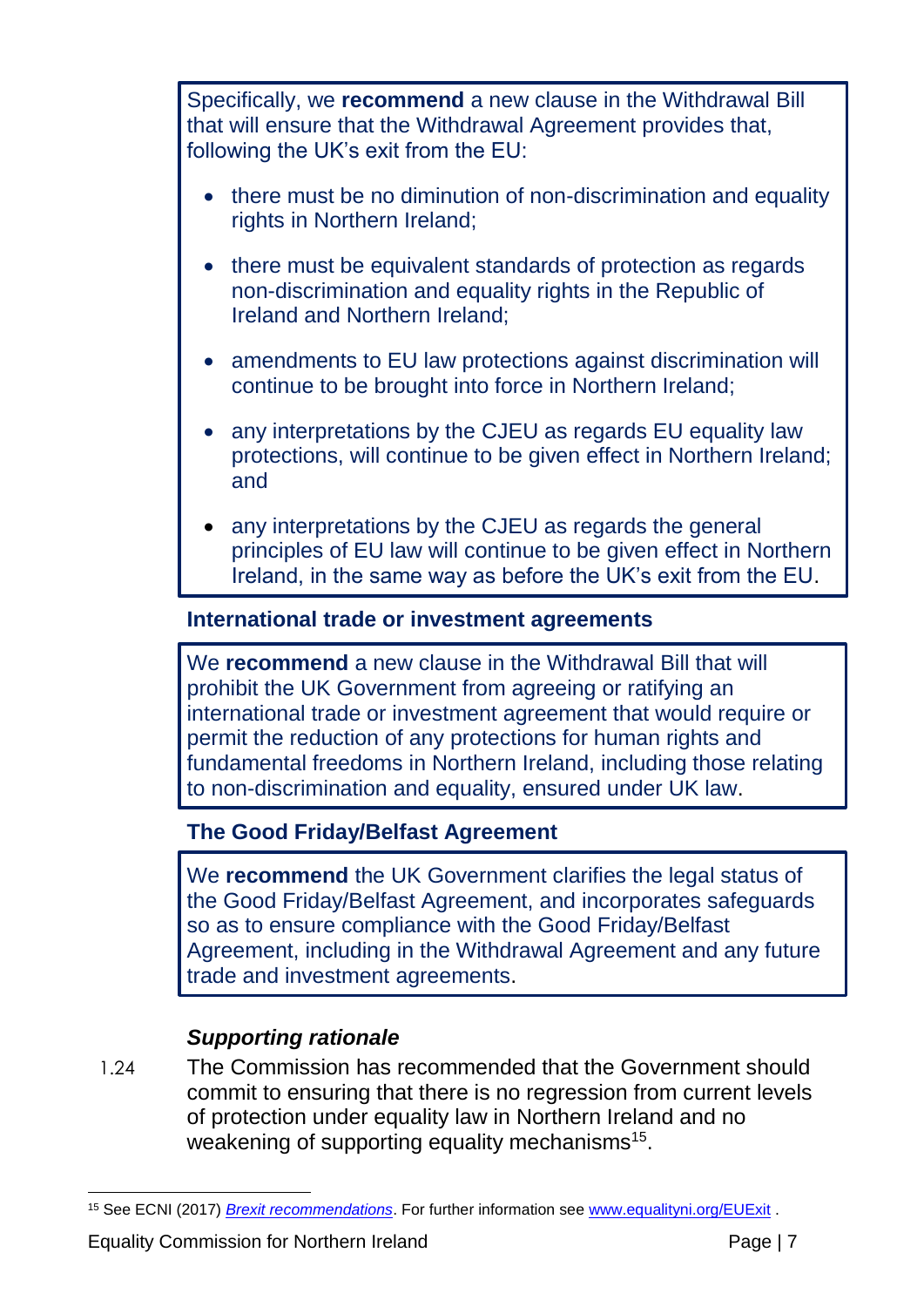Specifically, we **recommend** a new clause in the Withdrawal Bill that will ensure that the Withdrawal Agreement provides that, following the UK's exit from the EU:

- there must be no diminution of non-discrimination and equality rights in Northern Ireland;
- there must be equivalent standards of protection as regards non-discrimination and equality rights in the Republic of Ireland and Northern Ireland;
- amendments to EU law protections against discrimination will continue to be brought into force in Northern Ireland;
- any interpretations by the CJEU as regards EU equality law protections, will continue to be given effect in Northern Ireland; and
- any interpretations by the CJEU as regards the general principles of EU law will continue to be given effect in Northern Ireland, in the same way as before the UK's exit from the EU.

#### **International trade or investment agreements**

We **recommend** a new clause in the Withdrawal Bill that will prohibit the UK Government from agreeing or ratifying an international trade or investment agreement that would require or permit the reduction of any protections for human rights and fundamental freedoms in Northern Ireland, including those relating to non-discrimination and equality, ensured under UK law.

#### **The Good Friday/Belfast Agreement**

We **recommend** the UK Government clarifies the legal status of the Good Friday/Belfast Agreement, and incorporates safeguards so as to ensure compliance with the Good Friday/Belfast Agreement, including in the Withdrawal Agreement and any future trade and investment agreements.

#### *Supporting rationale*

1.24 The Commission has recommended that the Government should commit to ensuring that there is no regression from current levels of protection under equality law in Northern Ireland and no weakening of supporting equality mechanisms<sup>15</sup>.

<sup>1</sup> <sup>15</sup> See ECNI (2017) *[Brexit recommendations](http://www.equalityni.org/ECNI/media/ECNI/Publications/Delivering%20Equality/EU-Exit-EqualitySummary.pdf)*. For further information see [www.equalityni.org/EUExit](http://www.equalityni.org/EUExit) .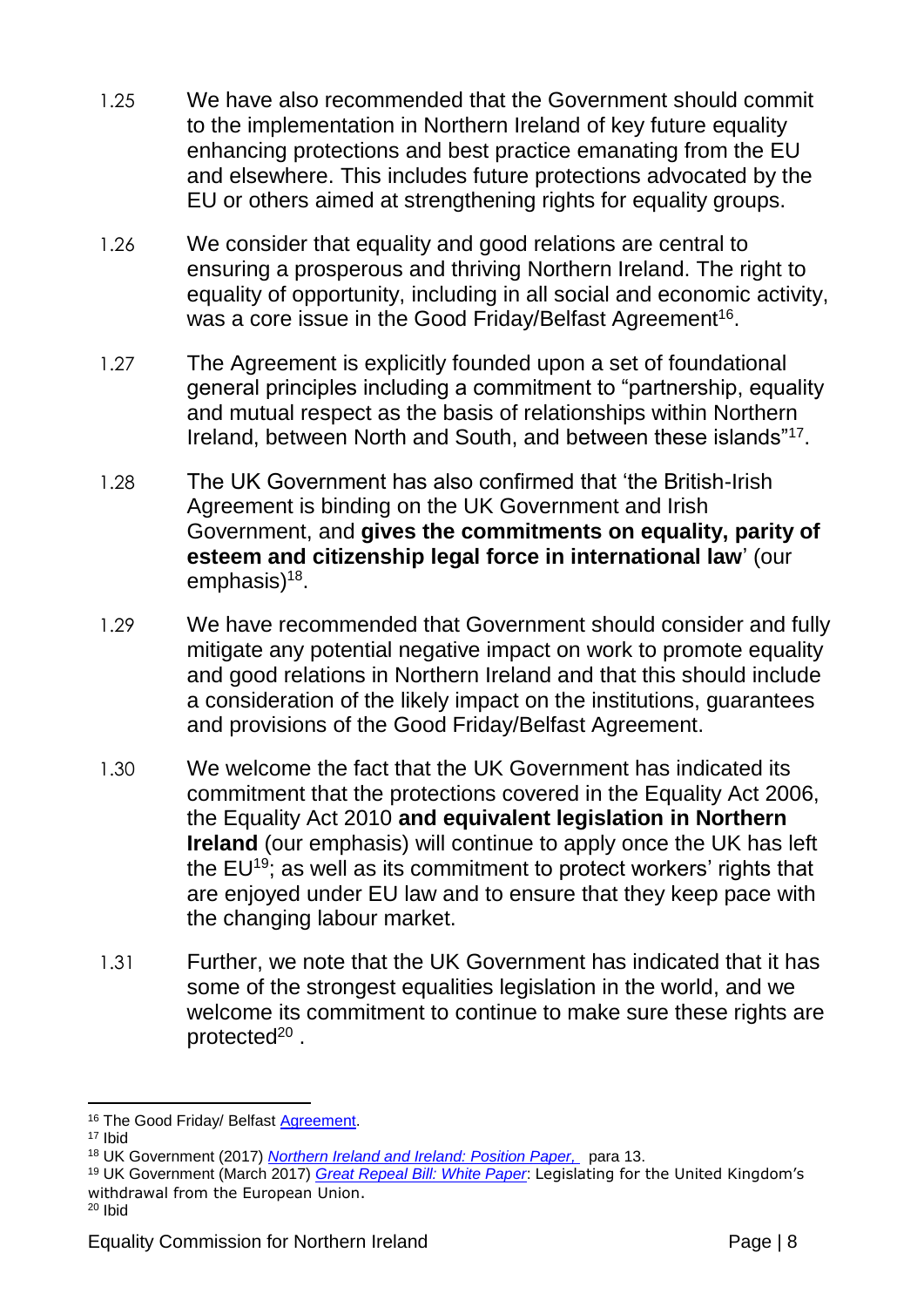- 1.25 We have also recommended that the Government should commit to the implementation in Northern Ireland of key future equality enhancing protections and best practice emanating from the EU and elsewhere. This includes future protections advocated by the EU or others aimed at strengthening rights for equality groups.
- 1.26 We consider that equality and good relations are central to ensuring a prosperous and thriving Northern Ireland. The right to equality of opportunity, including in all social and economic activity, was a core issue in the Good Friday/Belfast Agreement $^{\rm 16}$ .
- 1.27 The Agreement is explicitly founded upon a set of foundational general principles including a commitment to "partnership, equality and mutual respect as the basis of relationships within Northern Ireland, between North and South, and between these islands"<sup>17</sup> .
- 1.28 The UK Government has also confirmed that 'the British-Irish Agreement is binding on the UK Government and Irish Government, and **gives the commitments on equality, parity of esteem and citizenship legal force in international law**' (our emphasis)<sup>18</sup>.
- 1.29 We have recommended that Government should consider and fully mitigate any potential negative impact on work to promote equality and good relations in Northern Ireland and that this should include a consideration of the likely impact on the institutions, guarantees and provisions of the Good Friday/Belfast Agreement.
- 1.30 We welcome the fact that the UK Government has indicated its commitment that the protections covered in the Equality Act 2006, the Equality Act 2010 **and equivalent legislation in Northern Ireland** (our emphasis) will continue to apply once the UK has left the  $EU^{19}$ ; as well as its commitment to protect workers' rights that are enjoyed under EU law and to ensure that they keep pace with the changing labour market.
- 1.31 Further, we note that the UK Government has indicated that it has some of the strongest equalities legislation in the world, and we welcome its commitment to continue to make sure these rights are protected<sup>20</sup>.

<sup>20</sup> Ibid

<sup>1</sup> 16 The Good Friday/ Belfast **Agreement**.

<sup>17</sup> Ibid

<sup>18</sup> UK Government (2017) *[Northern Ireland and Ireland: Position Paper,](https://www.gov.uk/government/uploads/system/uploads/attachment_data/file/638135/6.3703_DEXEU_Northern_Ireland_and_Ireland_INTERACTIVE.pdf)* para 13.

<sup>19</sup> UK Government (March 2017) *[Great Repeal Bill: White Paper](https://www.gov.uk/government/publications/the-great-repeal-bill-white-paper)*: Legislating for the United Kingdom's withdrawal from the European Union.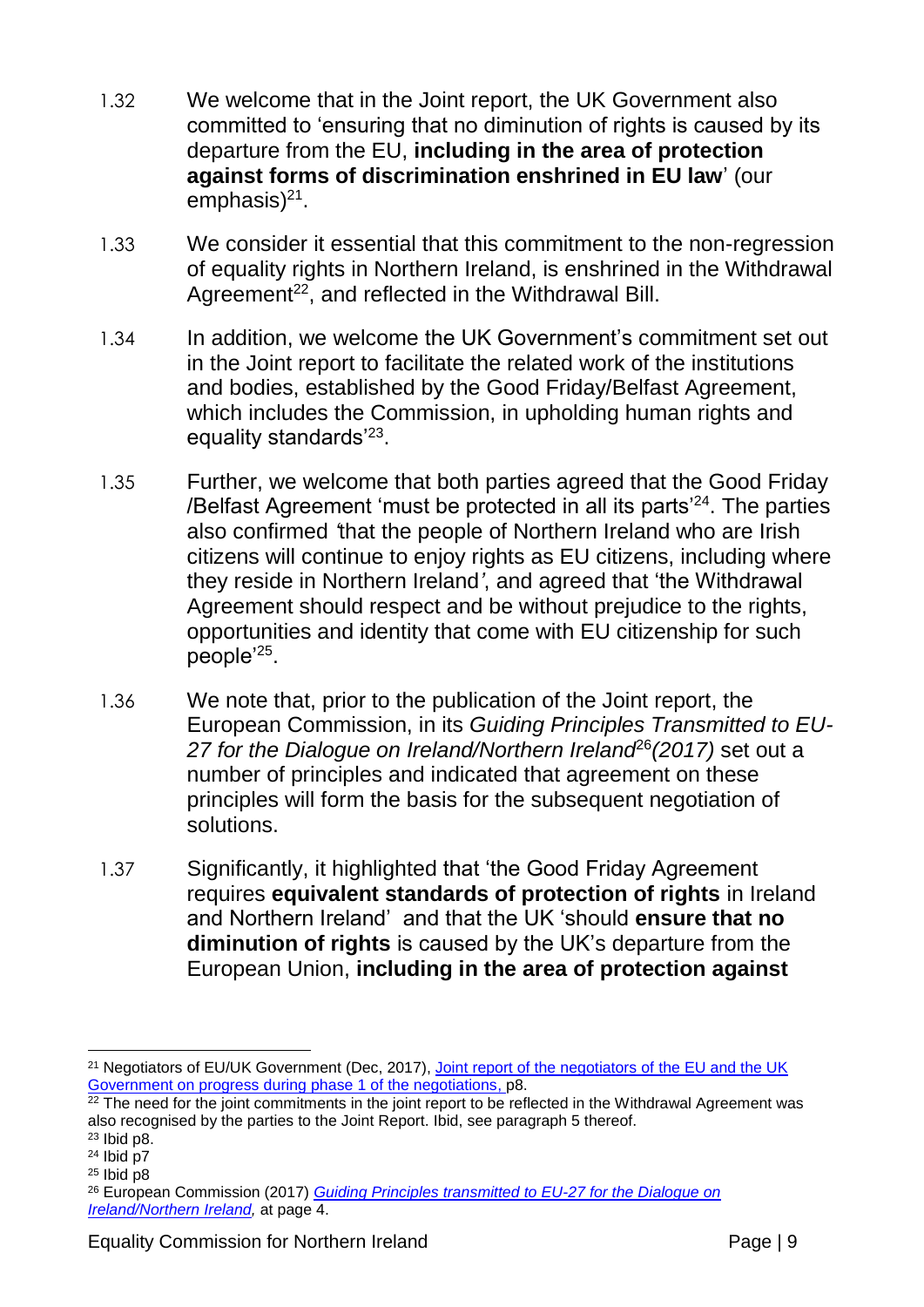- 1.32 We welcome that in the Joint report, the UK Government also committed to 'ensuring that no diminution of rights is caused by its departure from the EU, **including in the area of protection against forms of discrimination enshrined in EU law**' (our emphasis)<sup>21</sup>.
- 1.33 We consider it essential that this commitment to the non-regression of equality rights in Northern Ireland, is enshrined in the Withdrawal Agreement<sup>22</sup>, and reflected in the Withdrawal Bill.
- 1.34 In addition, we welcome the UK Government's commitment set out in the Joint report to facilitate the related work of the institutions and bodies, established by the Good Friday/Belfast Agreement, which includes the Commission, in upholding human rights and equality standards'<sup>23</sup>.
- 1.35 Further, we welcome that both parties agreed that the Good Friday /Belfast Agreement 'must be protected in all its parts'<sup>24</sup>. The parties also confirmed *'*that the people of Northern Ireland who are Irish citizens will continue to enjoy rights as EU citizens, including where they reside in Northern Ireland*'*, and agreed that 'the Withdrawal Agreement should respect and be without prejudice to the rights, opportunities and identity that come with EU citizenship for such people'<sup>25</sup>.
- 1.36 We note that, prior to the publication of the Joint report, the European Commission, in its *Guiding Principles Transmitted to EU-*27 for the Dialogue on Ireland/Northern Ireland<sup>e6</sup> (2017) set out a number of principles and indicated that agreement on these principles will form the basis for the subsequent negotiation of solutions.
- 1.37 Significantly, it highlighted that 'the Good Friday Agreement requires **equivalent standards of protection of rights** in Ireland and Northern Ireland' and that the UK 'should **ensure that no diminution of rights** is caused by the UK's departure from the European Union, **including in the area of protection against**

<sup>&</sup>lt;u>.</u> <sup>21</sup> Negotiators of EU/UK Government (Dec, 2017), Joint report of the negotiators of the EU and the UK [Government on progress during phase 1 of the negotiations,](https://www.gov.uk/government/uploads/system/uploads/attachment_data/file/665869/Joint_report_on_progress_during_phase_1_of_negotiations_under_Article_50_TEU_on_the_United_Kingdom_s_orderly_withdrawal_from_the_European_Union.pdf) p8.

<sup>&</sup>lt;sup>22</sup> The need for the joint commitments in the joint report to be reflected in the Withdrawal Agreement was also recognised by the parties to the Joint Report. Ibid, see paragraph 5 thereof.

<sup>23</sup> Ibid p8.

 $24$  Ibid p7

 $25$  Ibid p8

<sup>26</sup> European Commission (2017) *[Guiding Principles transmitted to EU-27 for the Dialogue on](https://ec.europa.eu/commission/publications/guiding-principles-transmitted-eu27-dialogue-ireland-northern-ireland_en)  [Ireland/Northern Ireland,](https://ec.europa.eu/commission/publications/guiding-principles-transmitted-eu27-dialogue-ireland-northern-ireland_en)* at page 4.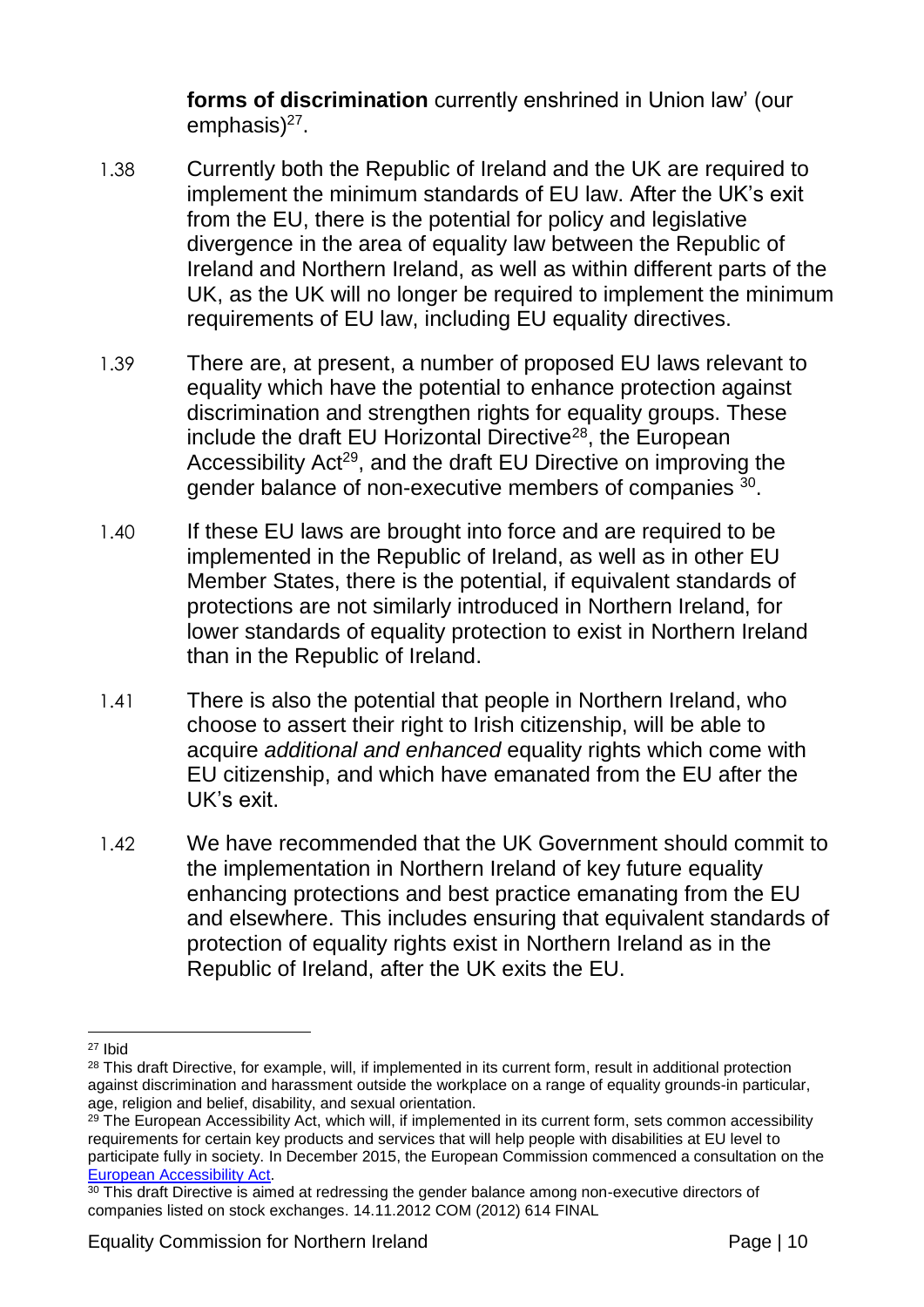**forms of discrimination** currently enshrined in Union law' (our emphasis)<sup>27</sup>.

- 1.38 Currently both the Republic of Ireland and the UK are required to implement the minimum standards of EU law. After the UK's exit from the EU, there is the potential for policy and legislative divergence in the area of equality law between the Republic of Ireland and Northern Ireland, as well as within different parts of the UK, as the UK will no longer be required to implement the minimum requirements of EU law, including EU equality directives.
- 1.39 There are, at present, a number of proposed EU laws relevant to equality which have the potential to enhance protection against discrimination and strengthen rights for equality groups. These include the draft EU Horizontal Directive<sup>28</sup>, the European Accessibility Act<sup>29</sup>, and the draft EU Directive on improving the gender balance of non-executive members of companies  $30$ .
- 1.40 If these EU laws are brought into force and are required to be implemented in the Republic of Ireland, as well as in other EU Member States, there is the potential, if equivalent standards of protections are not similarly introduced in Northern Ireland, for lower standards of equality protection to exist in Northern Ireland than in the Republic of Ireland.
- 1.41 There is also the potential that people in Northern Ireland, who choose to assert their right to Irish citizenship, will be able to acquire *additional and enhanced* equality rights which come with EU citizenship, and which have emanated from the EU after the UK's exit.
- 1.42 We have recommended that the UK Government should commit to the implementation in Northern Ireland of key future equality enhancing protections and best practice emanating from the EU and elsewhere. This includes ensuring that equivalent standards of protection of equality rights exist in Northern Ireland as in the Republic of Ireland, after the UK exits the EU.

<sup>1</sup> <sup>27</sup> Ibid

<sup>&</sup>lt;sup>28</sup> This draft Directive, for example, will, if implemented in its current form, result in additional protection against discrimination and harassment outside the workplace on a range of equality grounds-in particular, age, religion and belief, disability, and sexual orientation.

<sup>&</sup>lt;sup>29</sup> The European Accessibility Act, which will, if implemented in its current form, sets common accessibility requirements for certain key products and services that will help people with disabilities at EU level to participate fully in society. In December 2015, the European Commission commenced a consultation on the [European Accessibility Act.](http://europa.eu/rapid/press-release_IP-15-6147_en.htm)

<sup>&</sup>lt;sup>30</sup> This draft Directive is aimed at redressing the gender balance among non-executive directors of companies listed on stock exchanges. 14.11.2012 COM (2012) 614 FINAL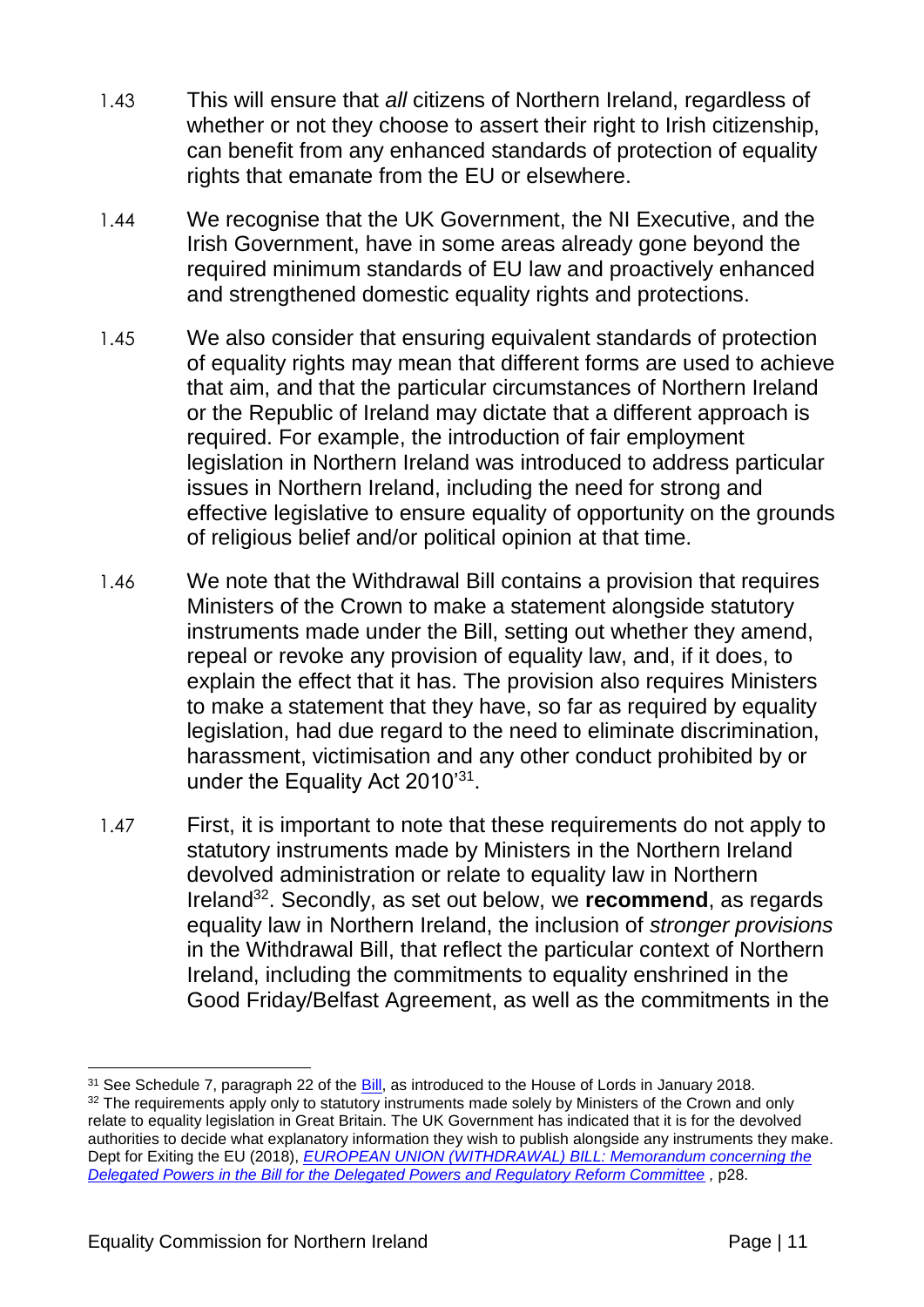- 1.43 This will ensure that *all* citizens of Northern Ireland, regardless of whether or not they choose to assert their right to Irish citizenship, can benefit from any enhanced standards of protection of equality rights that emanate from the EU or elsewhere.
- 1.44 We recognise that the UK Government, the NI Executive, and the Irish Government, have in some areas already gone beyond the required minimum standards of EU law and proactively enhanced and strengthened domestic equality rights and protections.
- 1.45 We also consider that ensuring equivalent standards of protection of equality rights may mean that different forms are used to achieve that aim, and that the particular circumstances of Northern Ireland or the Republic of Ireland may dictate that a different approach is required. For example, the introduction of fair employment legislation in Northern Ireland was introduced to address particular issues in Northern Ireland, including the need for strong and effective legislative to ensure equality of opportunity on the grounds of religious belief and/or political opinion at that time.
- 1.46 We note that the Withdrawal Bill contains a provision that requires Ministers of the Crown to make a statement alongside statutory instruments made under the Bill, setting out whether they amend, repeal or revoke any provision of equality law, and, if it does, to explain the effect that it has. The provision also requires Ministers to make a statement that they have, so far as required by equality legislation, had due regard to the need to eliminate discrimination, harassment, victimisation and any other conduct prohibited by or under the Equality Act 2010'<sup>31</sup>.
- 1.47 First, it is important to note that these requirements do not apply to statutory instruments made by Ministers in the Northern Ireland devolved administration or relate to equality law in Northern Ireland<sup>32</sup>. Secondly, as set out below, we recommend, as regards equality law in Northern Ireland, the inclusion of *stronger provisions* in the Withdrawal Bill, that reflect the particular context of Northern Ireland, including the commitments to equality enshrined in the Good Friday/Belfast Agreement, as well as the commitments in the

<u>.</u>

<sup>&</sup>lt;sup>31</sup> See Schedule 7, paragraph 22 of the **Bill**, as introduced to the House of Lords in January 2018. 32 The requirements apply only to statutory instruments made solely by Ministers of the Crown and only relate to equality legislation in Great Britain. The UK Government has indicated that it is for the devolved authorities to decide what explanatory information they wish to publish alongside any instruments they make. Dept for Exiting the EU (2018), *[EUROPEAN UNION \(WITHDRAWAL\) BILL: Memorandum concerning the](https://publications.parliament.uk/pa/bills/lbill/2017-2019/0079/18079-DPM.pdf)  [Delegated Powers in the Bill for the Delegated Powers and Regulatory Reform Committee](https://publications.parliament.uk/pa/bills/lbill/2017-2019/0079/18079-DPM.pdf) ,* p28.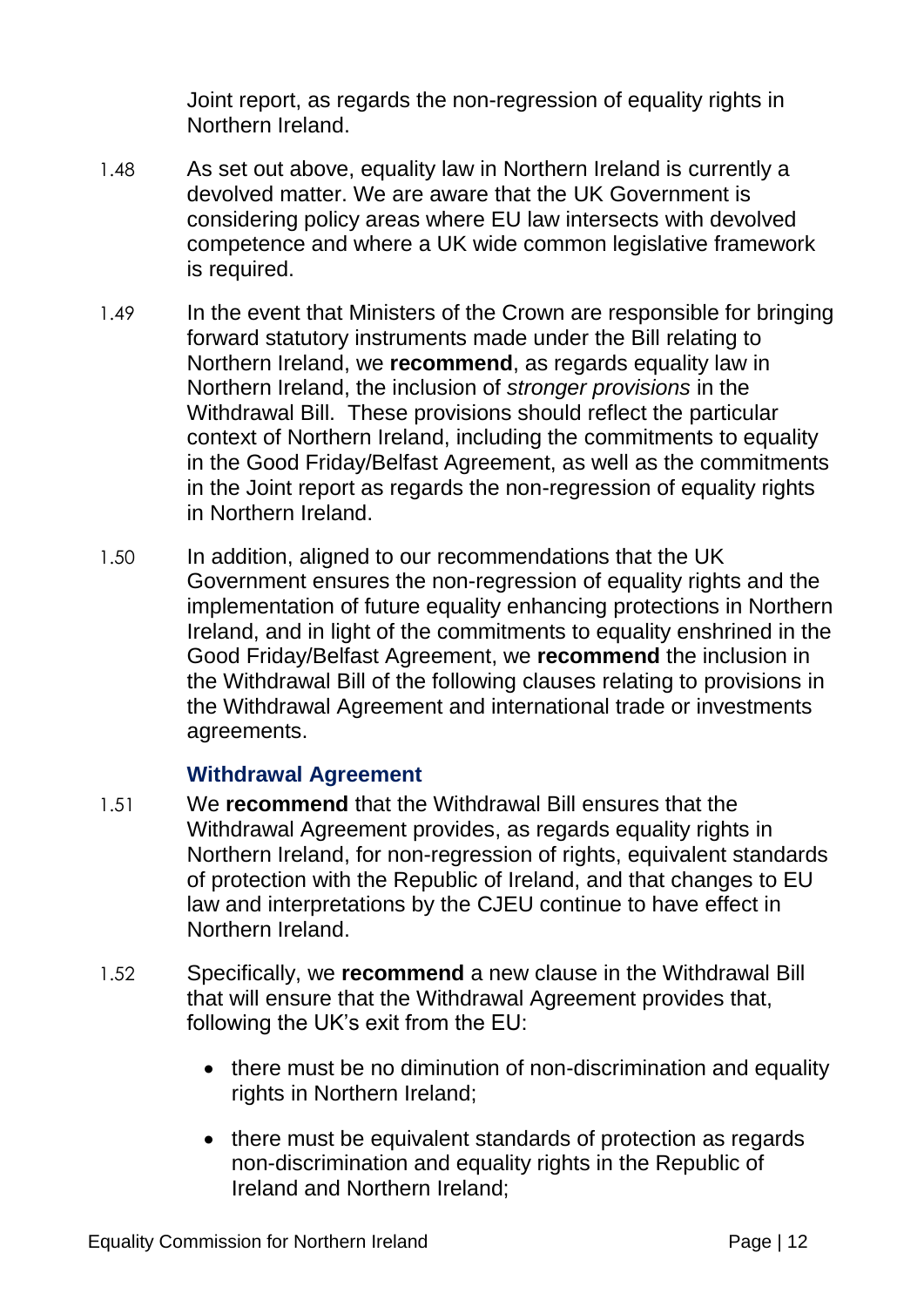Joint report, as regards the non-regression of equality rights in Northern Ireland.

- 1.48 As set out above, equality law in Northern Ireland is currently a devolved matter. We are aware that the UK Government is considering policy areas where EU law intersects with devolved competence and where a UK wide common legislative framework is required.
- 1.49 In the event that Ministers of the Crown are responsible for bringing forward statutory instruments made under the Bill relating to Northern Ireland, we **recommend**, as regards equality law in Northern Ireland, the inclusion of *stronger provisions* in the Withdrawal Bill. These provisions should reflect the particular context of Northern Ireland, including the commitments to equality in the Good Friday/Belfast Agreement, as well as the commitments in the Joint report as regards the non-regression of equality rights in Northern Ireland.
- 1.50 In addition, aligned to our recommendations that the UK Government ensures the non-regression of equality rights and the implementation of future equality enhancing protections in Northern Ireland, and in light of the commitments to equality enshrined in the Good Friday/Belfast Agreement, we **recommend** the inclusion in the Withdrawal Bill of the following clauses relating to provisions in the Withdrawal Agreement and international trade or investments agreements.

#### **Withdrawal Agreement**

- 1.51 We **recommend** that the Withdrawal Bill ensures that the Withdrawal Agreement provides, as regards equality rights in Northern Ireland, for non-regression of rights, equivalent standards of protection with the Republic of Ireland, and that changes to EU law and interpretations by the CJEU continue to have effect in Northern Ireland.
- 1.52 Specifically, we **recommend** a new clause in the Withdrawal Bill that will ensure that the Withdrawal Agreement provides that, following the UK's exit from the EU:
	- there must be no diminution of non-discrimination and equality rights in Northern Ireland;
	- there must be equivalent standards of protection as regards non-discrimination and equality rights in the Republic of Ireland and Northern Ireland;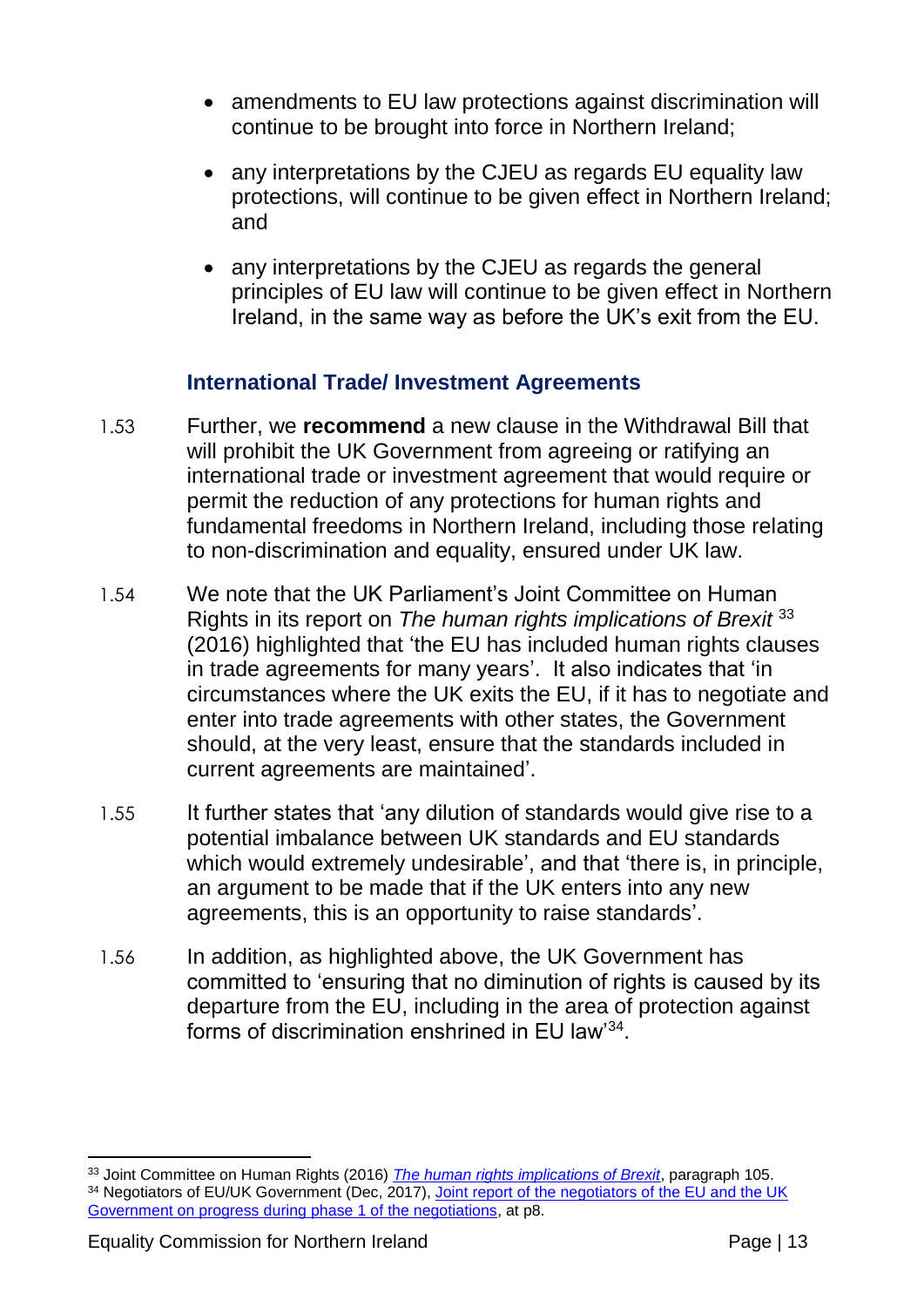- amendments to EU law protections against discrimination will continue to be brought into force in Northern Ireland;
- any interpretations by the CJEU as regards EU equality law protections, will continue to be given effect in Northern Ireland; and
- any interpretations by the CJEU as regards the general principles of EU law will continue to be given effect in Northern Ireland, in the same way as before the UK's exit from the EU.

#### **International Trade/ Investment Agreements**

- 1.53 Further, we **recommend** a new clause in the Withdrawal Bill that will prohibit the UK Government from agreeing or ratifying an international trade or investment agreement that would require or permit the reduction of any protections for human rights and fundamental freedoms in Northern Ireland, including those relating to non-discrimination and equality, ensured under UK law.
- 1.54 We note that the UK Parliament's Joint Committee on Human Rights in its report on *The human rights implications of Brexit* <sup>33</sup> (2016) highlighted that 'the EU has included human rights clauses in trade agreements for many years'. It also indicates that 'in circumstances where the UK exits the EU, if it has to negotiate and enter into trade agreements with other states, the Government should, at the very least, ensure that the standards included in current agreements are maintained'.
- 1.55 It further states that 'any dilution of standards would give rise to a potential imbalance between UK standards and EU standards which would extremely undesirable', and that 'there is, in principle, an argument to be made that if the UK enters into any new agreements, this is an opportunity to raise standards'.
- 1.56 In addition, as highlighted above, the UK Government has committed to 'ensuring that no diminution of rights is caused by its departure from the EU, including in the area of protection against forms of discrimination enshrined in EU law' $^{34}$ .

<sup>&</sup>lt;u>.</u> <sup>33</sup> Joint Committee on Human Rights (2016) *[The human rights implications of Brexit](https://publications.parliament.uk/pa/jt201617/jtselect/jtrights/695/69502.htm)*, paragraph 105. 34 Negotiators of EU/UK Government (Dec, 2017), Joint report of the negotiators of the EU and the UK [Government on progress during phase 1 of the negotiations,](https://www.gov.uk/government/uploads/system/uploads/attachment_data/file/665869/Joint_report_on_progress_during_phase_1_of_negotiations_under_Article_50_TEU_on_the_United_Kingdom_s_orderly_withdrawal_from_the_European_Union.pdf) at p8.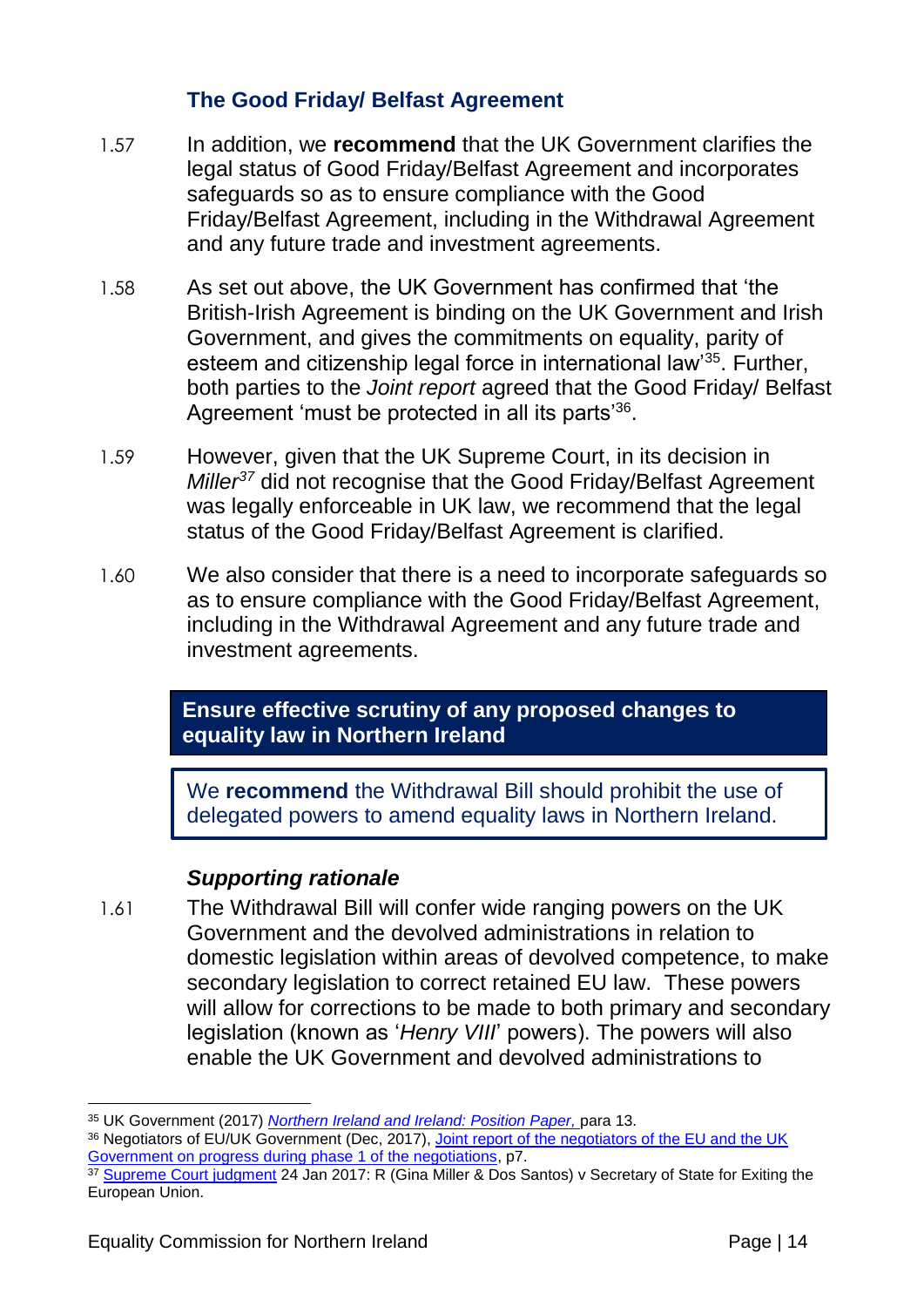#### **The Good Friday/ Belfast Agreement**

- 1.57 In addition, we **recommend** that the UK Government clarifies the legal status of Good Friday/Belfast Agreement and incorporates safeguards so as to ensure compliance with the Good Friday/Belfast Agreement, including in the Withdrawal Agreement and any future trade and investment agreements.
- 1.58 As set out above, the UK Government has confirmed that 'the British-Irish Agreement is binding on the UK Government and Irish Government, and gives the commitments on equality, parity of esteem and citizenship legal force in international law'<sup>35</sup>. Further, both parties to the *Joint report* agreed that the Good Friday/ Belfast Agreement 'must be protected in all its parts'<sup>36</sup>.
- 1.59 However, given that the UK Supreme Court, in its decision in *Miller<sup>37</sup>* did not recognise that the Good Friday/Belfast Agreement was legally enforceable in UK law, we recommend that the legal status of the Good Friday/Belfast Agreement is clarified.
- 1.60 We also consider that there is a need to incorporate safeguards so as to ensure compliance with the Good Friday/Belfast Agreement, including in the Withdrawal Agreement and any future trade and investment agreements.

**Ensure effective scrutiny of any proposed changes to equality law in Northern Ireland**

We **recommend** the Withdrawal Bill should prohibit the use of delegated powers to amend equality laws in Northern Ireland.

#### *Supporting rationale*

1.61 The Withdrawal Bill will confer wide ranging powers on the UK Government and the devolved administrations in relation to domestic legislation within areas of devolved competence, to make secondary legislation to correct retained EU law. These powers will allow for corrections to be made to both primary and secondary legislation (known as '*Henry VIII*' powers). The powers will also enable the UK Government and devolved administrations to

<sup>&</sup>lt;u>.</u> <sup>35</sup> UK Government (2017) *[Northern Ireland and Ireland: Position Paper,](https://www.gov.uk/government/uploads/system/uploads/attachment_data/file/638135/6.3703_DEXEU_Northern_Ireland_and_Ireland_INTERACTIVE.pdf)* para 13.

<sup>36</sup> Negotiators of EU/UK Government (Dec, 2017), Joint report of the negotiators of the EU and the UK [Government on progress during phase 1 of the negotiations,](https://www.gov.uk/government/uploads/system/uploads/attachment_data/file/665869/Joint_report_on_progress_during_phase_1_of_negotiations_under_Article_50_TEU_on_the_United_Kingdom_s_orderly_withdrawal_from_the_European_Union.pdf) p7.

<sup>&</sup>lt;sup>37</sup> [Supreme Court judgment](https://www.supremecourt.uk/cases/docs/uksc-2016-0196-judgment.pdf) 24 Jan 2017: R (Gina Miller & Dos Santos) v Secretary of State for Exiting the European Union.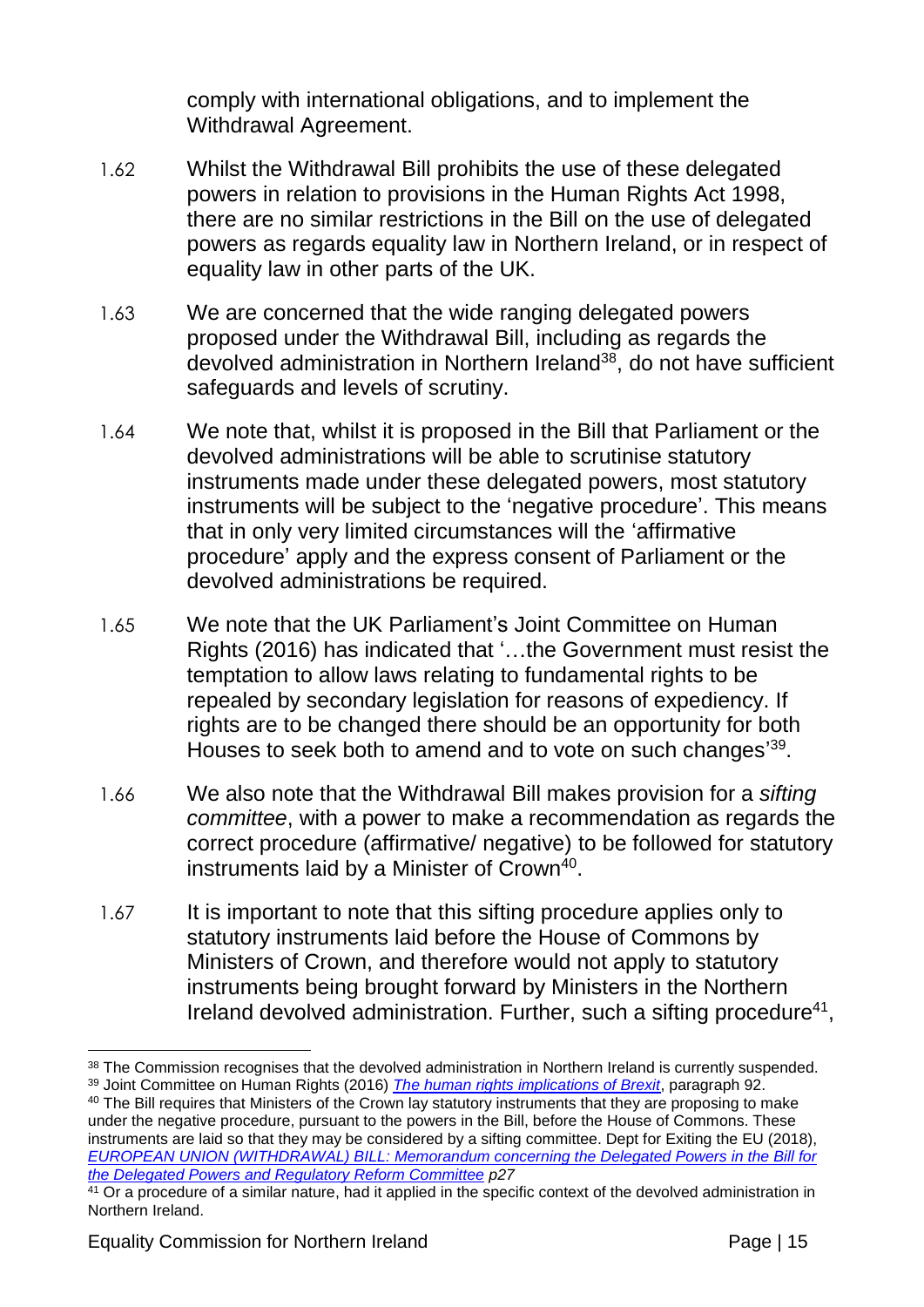comply with international obligations, and to implement the Withdrawal Agreement.

- 1.62 Whilst the Withdrawal Bill prohibits the use of these delegated powers in relation to provisions in the Human Rights Act 1998, there are no similar restrictions in the Bill on the use of delegated powers as regards equality law in Northern Ireland, or in respect of equality law in other parts of the UK.
- 1.63 We are concerned that the wide ranging delegated powers proposed under the Withdrawal Bill, including as regards the devolved administration in Northern Ireland<sup>38</sup>, do not have sufficient safeguards and levels of scrutiny.
- 1.64 We note that, whilst it is proposed in the Bill that Parliament or the devolved administrations will be able to scrutinise statutory instruments made under these delegated powers, most statutory instruments will be subject to the 'negative procedure'. This means that in only very limited circumstances will the 'affirmative procedure' apply and the express consent of Parliament or the devolved administrations be required.
- 1.65 We note that the UK Parliament's Joint Committee on Human Rights (2016) has indicated that '…the Government must resist the temptation to allow laws relating to fundamental rights to be repealed by secondary legislation for reasons of expediency. If rights are to be changed there should be an opportunity for both Houses to seek both to amend and to vote on such changes<sup>'39</sup>.
- 1.66 We also note that the Withdrawal Bill makes provision for a *sifting committee*, with a power to make a recommendation as regards the correct procedure (affirmative/ negative) to be followed for statutory instruments laid by a Minister of Crown<sup>40</sup>.
- 1.67 It is important to note that this sifting procedure applies only to statutory instruments laid before the House of Commons by Ministers of Crown, and therefore would not apply to statutory instruments being brought forward by Ministers in the Northern Ireland devolved administration. Further, such a sifting procedure<sup>41</sup>,

<sup>40</sup> The Bill requires that Ministers of the Crown lay statutory instruments that they are proposing to make under the negative procedure, pursuant to the powers in the Bill, before the House of Commons. These instruments are laid so that they may be considered by a sifting committee. Dept for Exiting the EU (2018), *[EUROPEAN UNION \(WITHDRAWAL\) BILL: Memorandum concerning the Delegated Powers in the Bill for](https://publications.parliament.uk/pa/bills/lbill/2017-2019/0079/18079-DPM.pdf)  [the Delegated Powers and Regulatory Reform Committee](https://publications.parliament.uk/pa/bills/lbill/2017-2019/0079/18079-DPM.pdf) p27*

<sup>&</sup>lt;u>.</u> 38 The Commission recognises that the devolved administration in Northern Ireland is currently suspended. <sup>39</sup> Joint Committee on Human Rights (2016) *[The human rights implications of Brexit](https://publications.parliament.uk/pa/jt201617/jtselect/jtrights/695/69502.htm)*, paragraph 92.

<sup>&</sup>lt;sup>41</sup> Or a procedure of a similar nature, had it applied in the specific context of the devolved administration in Northern Ireland.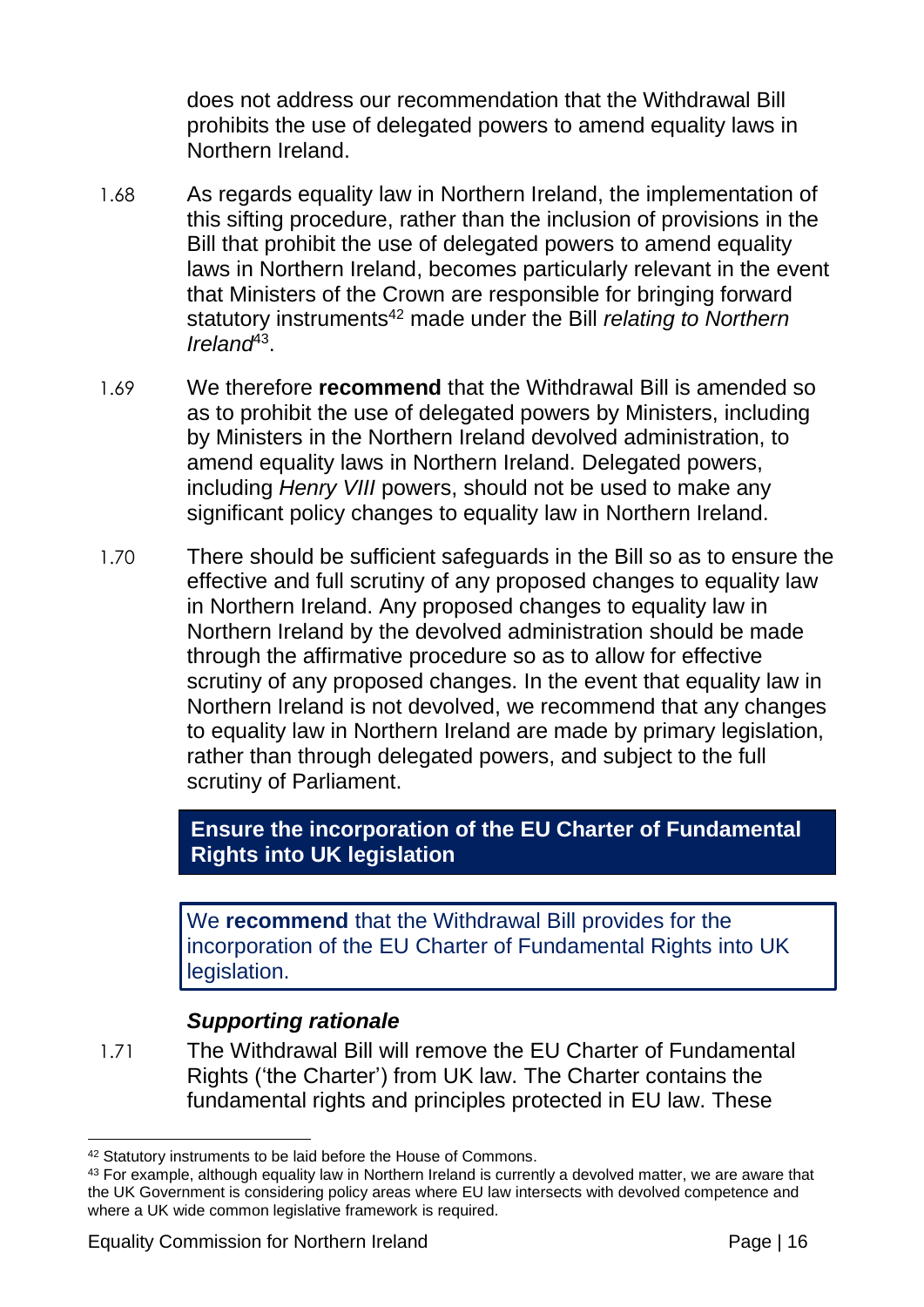does not address our recommendation that the Withdrawal Bill prohibits the use of delegated powers to amend equality laws in Northern Ireland.

- 1.68 As regards equality law in Northern Ireland, the implementation of this sifting procedure, rather than the inclusion of provisions in the Bill that prohibit the use of delegated powers to amend equality laws in Northern Ireland, becomes particularly relevant in the event that Ministers of the Crown are responsible for bringing forward statutory instruments<sup>42</sup> made under the Bill *relating to Northern Ireland*<sup>43</sup> .
- 1.69 We therefore **recommend** that the Withdrawal Bill is amended so as to prohibit the use of delegated powers by Ministers, including by Ministers in the Northern Ireland devolved administration, to amend equality laws in Northern Ireland. Delegated powers, including *Henry VIII* powers, should not be used to make any significant policy changes to equality law in Northern Ireland.
- 1.70 There should be sufficient safeguards in the Bill so as to ensure the effective and full scrutiny of any proposed changes to equality law in Northern Ireland. Any proposed changes to equality law in Northern Ireland by the devolved administration should be made through the affirmative procedure so as to allow for effective scrutiny of any proposed changes. In the event that equality law in Northern Ireland is not devolved, we recommend that any changes to equality law in Northern Ireland are made by primary legislation, rather than through delegated powers, and subject to the full scrutiny of Parliament.

**Ensure the incorporation of the EU Charter of Fundamental Rights into UK legislation**

We **recommend** that the Withdrawal Bill provides for the incorporation of the EU Charter of Fundamental Rights into UK legislation.

#### *Supporting rationale*

1.71 The Withdrawal Bill will remove the EU Charter of Fundamental Rights ('the Charter') from UK law. The Charter contains the fundamental rights and principles protected in EU law. These

<sup>1</sup> 42 Statutory instruments to be laid before the House of Commons.

<sup>43</sup> For example, although equality law in Northern Ireland is currently a devolved matter, we are aware that the UK Government is considering policy areas where EU law intersects with devolved competence and where a UK wide common legislative framework is required.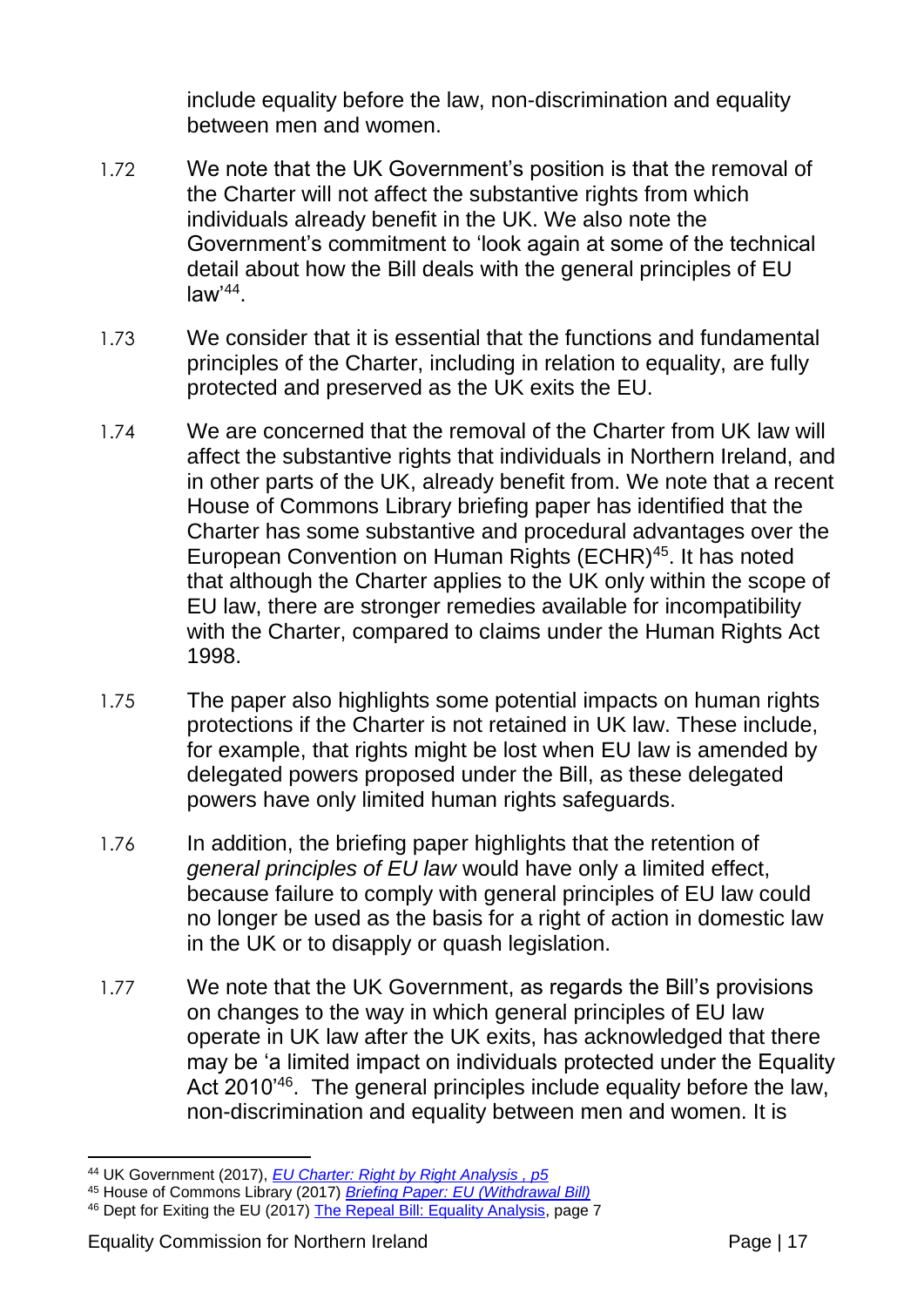include equality before the law, non-discrimination and equality between men and women.

- 1.72 We note that the UK Government's position is that the removal of the Charter will not affect the substantive rights from which individuals already benefit in the UK. We also note the Government's commitment to 'look again at some of the technical detail about how the Bill deals with the general principles of EU law'<sup>44</sup> .
- 1.73 We consider that it is essential that the functions and fundamental principles of the Charter, including in relation to equality, are fully protected and preserved as the UK exits the EU.
- 1.74 We are concerned that the removal of the Charter from UK law will affect the substantive rights that individuals in Northern Ireland, and in other parts of the UK, already benefit from. We note that a recent House of Commons Library briefing paper has identified that the Charter has some substantive and procedural advantages over the European Convention on Human Rights (ECHR)<sup>45</sup>. It has noted that although the Charter applies to the UK only within the scope of EU law, there are stronger remedies available for incompatibility with the Charter, compared to claims under the Human Rights Act 1998.
- 1.75 The paper also highlights some potential impacts on human rights protections if the Charter is not retained in UK law. These include, for example, that rights might be lost when EU law is amended by delegated powers proposed under the Bill, as these delegated powers have only limited human rights safeguards.
- 1.76 In addition, the briefing paper highlights that the retention of *general principles of EU law* would have only a limited effect, because failure to comply with general principles of EU law could no longer be used as the basis for a right of action in domestic law in the UK or to disapply or quash legislation.
- 1.77 We note that the UK Government, as regards the Bill's provisions on changes to the way in which general principles of EU law operate in UK law after the UK exits, has acknowledged that there may be 'a limited impact on individuals protected under the Equality Act 2010<sup>'46</sup>. The general principles include equality before the law, non-discrimination and equality between men and women. It is

<sup>&</sup>lt;u>.</u> <sup>44</sup> UK Government (2017), *[EU Charter: Right by Right Analysis](https://www.gov.uk/government/uploads/system/uploads/attachment_data/file/664891/05122017_Charter_Analysis_FINAL_VERSION.pdf) , p5*

<sup>45</sup> House of Commons Library (2017) *Briefing Paper: [EU \(Withdrawal Bill\)](http://researchbriefings.files.parliament.uk/documents/CBP-8079/CBP-8079.pdf)*

<sup>46</sup> Dept for Exiting the EU (2017) [The Repeal Bill: Equality Analysis,](https://www.gov.uk/government/uploads/system/uploads/attachment_data/file/629244/European_Union__Withdrawal__Bill_equality_analysis.pdf) page 7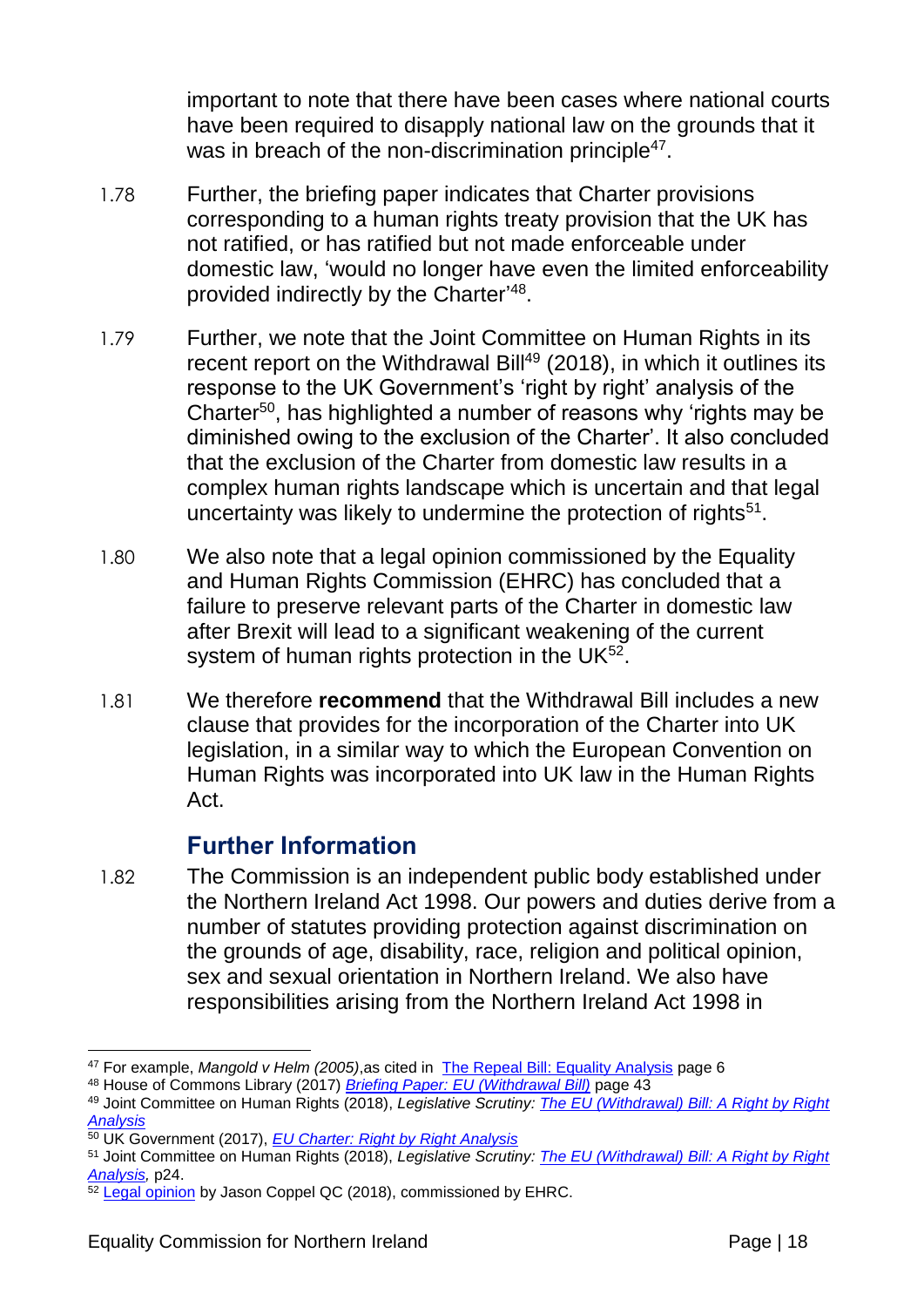important to note that there have been cases where national courts have been required to disapply national law on the grounds that it was in breach of the non-discrimination principle<sup>47</sup>.

- 1.78 Further, the briefing paper indicates that Charter provisions corresponding to a human rights treaty provision that the UK has not ratified, or has ratified but not made enforceable under domestic law, 'would no longer have even the limited enforceability provided indirectly by the Charter'<sup>48</sup>.
- 1.79 Further, we note that the Joint Committee on Human Rights in its recent report on the Withdrawal Bill<sup>49</sup> (2018), in which it outlines its response to the UK Government's 'right by right' analysis of the Charter<sup>50</sup>, has highlighted a number of reasons why 'rights may be diminished owing to the exclusion of the Charter'. It also concluded that the exclusion of the Charter from domestic law results in a complex human rights landscape which is uncertain and that legal uncertainty was likely to undermine the protection of rights<sup>51</sup>.
- 1.80 We also note that a legal opinion commissioned by the Equality and Human Rights Commission (EHRC) has concluded that a failure to preserve relevant parts of the Charter in domestic law after Brexit will lead to a significant weakening of the current system of human rights protection in the UK $^{52}$ .
- 1.81 We therefore **recommend** that the Withdrawal Bill includes a new clause that provides for the incorporation of the Charter into UK legislation, in a similar way to which the European Convention on Human Rights was incorporated into UK law in the Human Rights Act.

#### **Further Information**

1.82 The Commission is an independent public body established under the Northern Ireland Act 1998. Our powers and duties derive from a number of statutes providing protection against discrimination on the grounds of age, disability, race, religion and political opinion, sex and sexual orientation in Northern Ireland. We also have responsibilities arising from the Northern Ireland Act 1998 in

<sup>&</sup>lt;u>.</u> <sup>47</sup> For example, *Mangold v Helm (2005)*,as cited in [The Repeal Bill: Equality Analysis](https://www.gov.uk/government/uploads/system/uploads/attachment_data/file/629244/European_Union__Withdrawal__Bill_equality_analysis.pdf) page 6

<sup>48</sup> House of Commons Library (2017) *Briefing Paper: [EU \(Withdrawal Bill\)](http://researchbriefings.files.parliament.uk/documents/CBP-8079/CBP-8079.pdf)* page 43

<sup>49</sup> Joint Committee on Human Rights (2018), *Legislative Scrutiny: [The EU \(Withdrawal\) Bill: A Right by Right](https://publications.parliament.uk/pa/jt201719/jtselect/jtrights/774/774.pdf)  [Analysis](https://publications.parliament.uk/pa/jt201719/jtselect/jtrights/774/774.pdf)*

<sup>50</sup> UK Government (2017), *[EU Charter: Right by Right Analysis](https://www.gov.uk/government/uploads/system/uploads/attachment_data/file/664891/05122017_Charter_Analysis_FINAL_VERSION.pdf)*

<sup>51</sup> Joint Committee on Human Rights (2018), *Legislative Scrutiny: [The EU \(Withdrawal\) Bill: A Right by Right](https://publications.parliament.uk/pa/jt201719/jtselect/jtrights/774/774.pdf)*  [Analysis,](https://publications.parliament.uk/pa/jt201719/jtselect/jtrights/774/774.pdf) p<sub>24</sub>.

<sup>52</sup> [Legal opinion](https://www.equalityhumanrights.com/sites/default/files/eu-withdrawal-bill-legal-advice-jason-coppel-qc.pdf) by Jason Coppel QC (2018), commissioned by EHRC.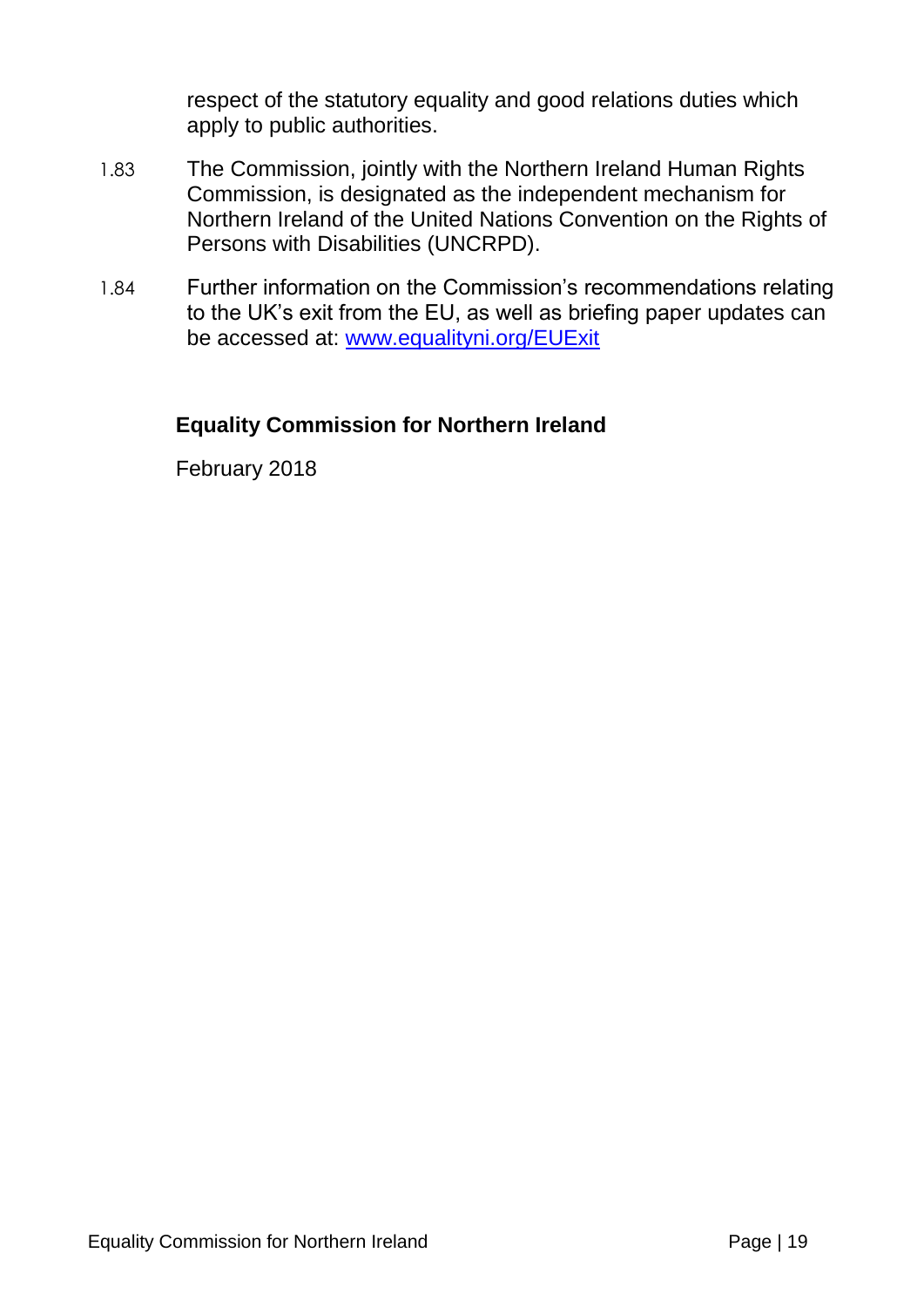respect of the statutory equality and good relations duties which apply to public authorities.

- 1.83 The Commission, jointly with the Northern Ireland Human Rights Commission, is designated as the independent mechanism for Northern Ireland of the United Nations Convention on the Rights of Persons with Disabilities (UNCRPD).
- 1.84 Further information on the Commission's recommendations relating to the UK's exit from the EU, as well as briefing paper updates can be accessed at: [www.equalityni.org/EUExit](http://www.equalityni.org/EUExit)

#### **Equality Commission for Northern Ireland**

February 2018